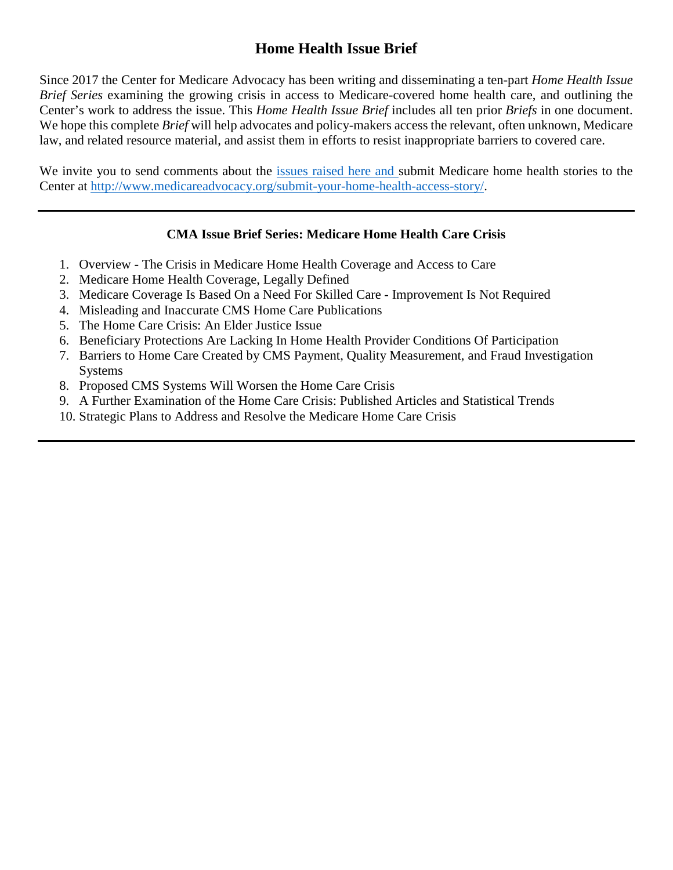# **Home Health Issue Brief**

Since 2017 the Center for Medicare Advocacy has been writing and disseminating a ten-part *Home Health Issue Brief Series* examining the growing crisis in access to Medicare-covered home health care, and outlining the Center's work to address the issue. This *Home Health Issue Brief* includes all ten prior *Briefs* in one document. We hope this complete *Brief* will help advocates and policy-makers access the relevant, often unknown, Medicare law, and related resource material, and assist them in efforts to resist inappropriate barriers to covered care.

We invite you to send comments about the issues raised here and submit Medicare home health stories to the Center at [http://www.medicareadvocacy.org/submit-your-home-health-access-story/.](http://www.medicareadvocacy.org/submit-your-home-health-access-story/)

### **CMA Issue Brief Series: Medicare Home Health Care Crisis**

- 1. Overview The Crisis in Medicare Home Health Coverage and Access to Care
- 2. Medicare Home Health Coverage, Legally Defined
- 3. Medicare Coverage Is Based On a Need For Skilled Care Improvement Is Not Required
- 4. Misleading and Inaccurate CMS Home Care Publications
- 5. The Home Care Crisis: An Elder Justice Issue
- 6. Beneficiary Protections Are Lacking In Home Health Provider Conditions Of Participation
- 7. Barriers to Home Care Created by CMS Payment, Quality Measurement, and Fraud Investigation **Systems**
- 8. Proposed CMS Systems Will Worsen the Home Care Crisis
- 9. A Further Examination of the Home Care Crisis: Published Articles and Statistical Trends
- 10. Strategic Plans to Address and Resolve the Medicare Home Care Crisis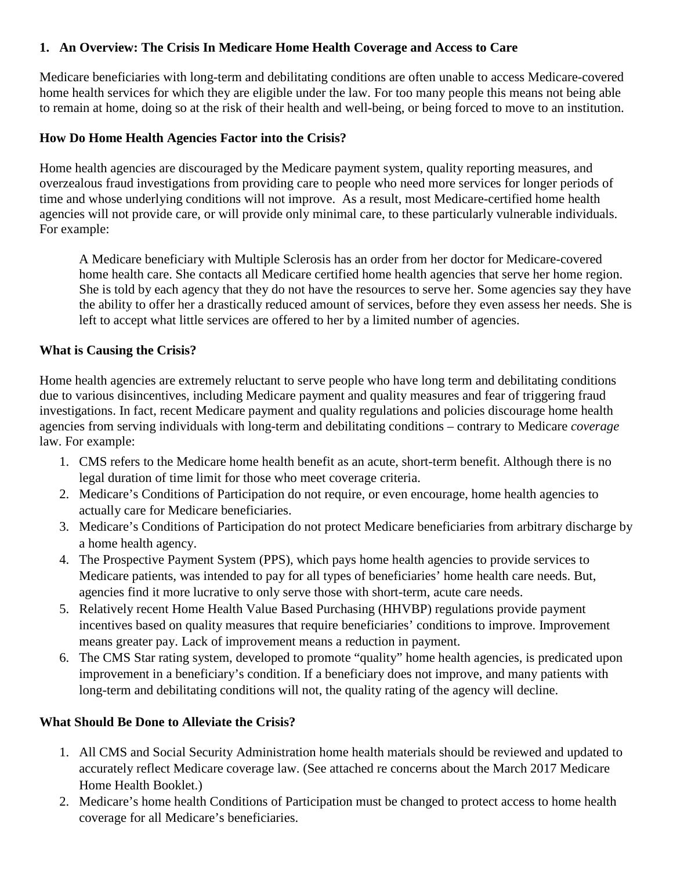### **1. An Overview: The Crisis In Medicare Home Health Coverage and Access to Care**

Medicare beneficiaries with long-term and debilitating conditions are often unable to access Medicare-covered home health services for which they are eligible under the law. For too many people this means not being able to remain at home, doing so at the risk of their health and well-being, or being forced to move to an institution.

#### **How Do Home Health Agencies Factor into the Crisis?**

Home health agencies are discouraged by the Medicare payment system, quality reporting measures, and overzealous fraud investigations from providing care to people who need more services for longer periods of time and whose underlying conditions will not improve. As a result, most Medicare-certified home health agencies will not provide care, or will provide only minimal care, to these particularly vulnerable individuals. For example:

A Medicare beneficiary with Multiple Sclerosis has an order from her doctor for Medicare-covered home health care. She contacts all Medicare certified home health agencies that serve her home region. She is told by each agency that they do not have the resources to serve her. Some agencies say they have the ability to offer her a drastically reduced amount of services, before they even assess her needs. She is left to accept what little services are offered to her by a limited number of agencies.

#### **What is Causing the Crisis?**

Home health agencies are extremely reluctant to serve people who have long term and debilitating conditions due to various disincentives, including Medicare payment and quality measures and fear of triggering fraud investigations. In fact, recent Medicare payment and quality regulations and policies discourage home health agencies from serving individuals with long-term and debilitating conditions – contrary to Medicare *coverage* law. For example:

- 1. CMS refers to the Medicare home health benefit as an acute, short-term benefit. Although there is no legal duration of time limit for those who meet coverage criteria.
- 2. Medicare's Conditions of Participation do not require, or even encourage, home health agencies to actually care for Medicare beneficiaries.
- 3. Medicare's Conditions of Participation do not protect Medicare beneficiaries from arbitrary discharge by a home health agency.
- 4. The Prospective Payment System (PPS), which pays home health agencies to provide services to Medicare patients, was intended to pay for all types of beneficiaries' home health care needs. But, agencies find it more lucrative to only serve those with short-term, acute care needs.
- 5. Relatively recent Home Health Value Based Purchasing (HHVBP) regulations provide payment incentives based on quality measures that require beneficiaries' conditions to improve. Improvement means greater pay. Lack of improvement means a reduction in payment.
- 6. The CMS Star rating system, developed to promote "quality" home health agencies, is predicated upon improvement in a beneficiary's condition. If a beneficiary does not improve, and many patients with long-term and debilitating conditions will not, the quality rating of the agency will decline.

#### **What Should Be Done to Alleviate the Crisis?**

- 1. All CMS and Social Security Administration home health materials should be reviewed and updated to accurately reflect Medicare coverage law. (See attached re concerns about the March 2017 Medicare Home Health Booklet.)
- 2. Medicare's home health Conditions of Participation must be changed to protect access to home health coverage for all Medicare's beneficiaries.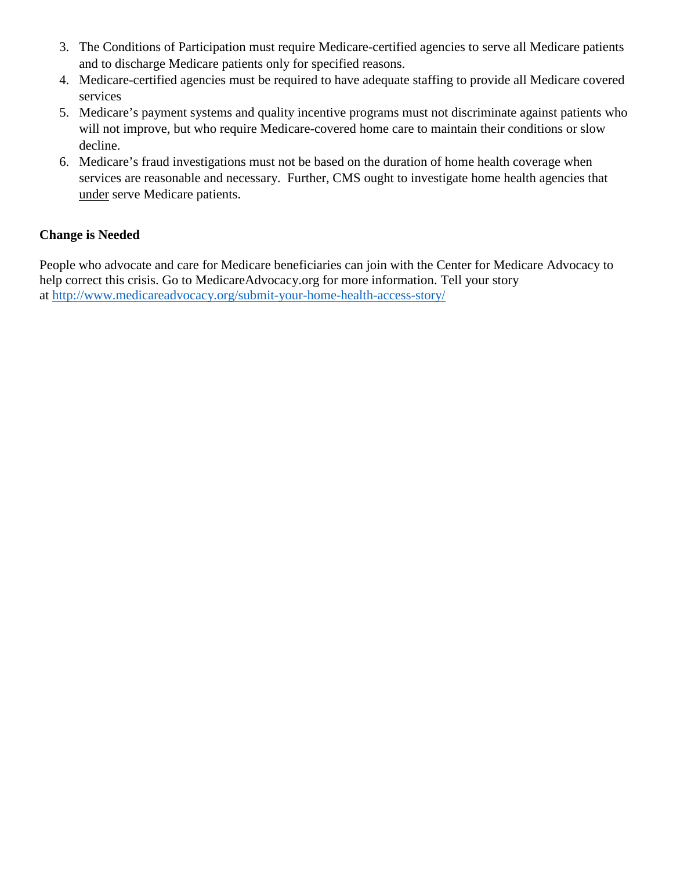- 3. The Conditions of Participation must require Medicare-certified agencies to serve all Medicare patients and to discharge Medicare patients only for specified reasons.
- 4. Medicare-certified agencies must be required to have adequate staffing to provide all Medicare covered services
- 5. Medicare's payment systems and quality incentive programs must not discriminate against patients who will not improve, but who require Medicare-covered home care to maintain their conditions or slow decline.
- 6. Medicare's fraud investigations must not be based on the duration of home health coverage when services are reasonable and necessary. Further, CMS ought to investigate home health agencies that under serve Medicare patients.

### **Change is Needed**

People who advocate and care for Medicare beneficiaries can join with the Center for Medicare Advocacy to help correct this crisis. Go to MedicareAdvocacy.org for more information. Tell your story at<http://www.medicareadvocacy.org/submit-your-home-health-access-story/>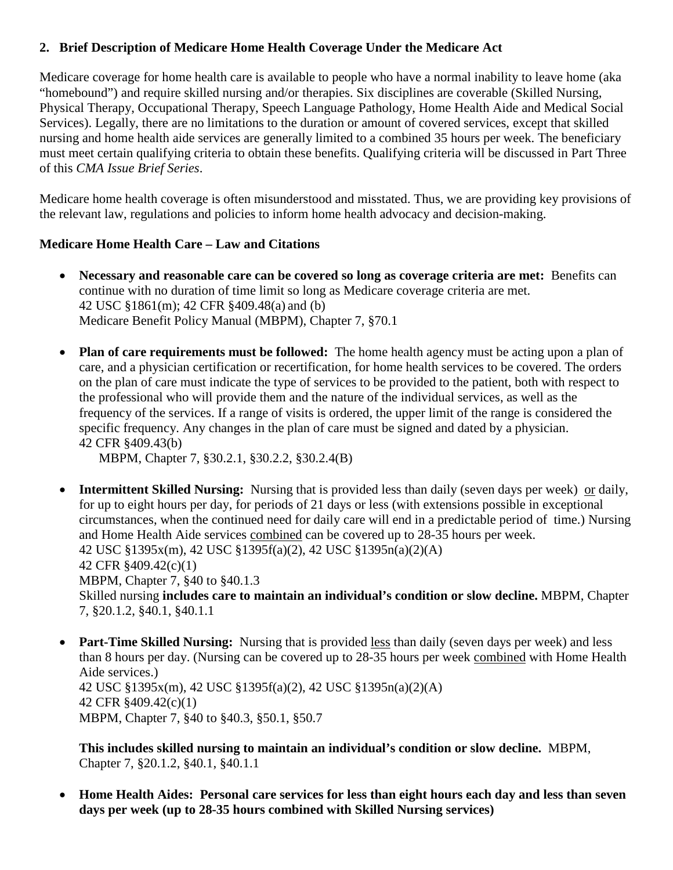### **2. Brief Description of Medicare Home Health Coverage Under the Medicare Act**

Medicare coverage for home health care is available to people who have a normal inability to leave home (aka "homebound") and require skilled nursing and/or therapies. Six disciplines are coverable (Skilled Nursing, Physical Therapy, Occupational Therapy, Speech Language Pathology, Home Health Aide and Medical Social Services). Legally, there are no limitations to the duration or amount of covered services, except that skilled nursing and home health aide services are generally limited to a combined 35 hours per week. The beneficiary must meet certain qualifying criteria to obtain these benefits. Qualifying criteria will be discussed in Part Three of this *CMA Issue Brief Series*.

Medicare home health coverage is often misunderstood and misstated. Thus, we are providing key provisions of the relevant law, regulations and policies to inform home health advocacy and decision-making.

#### **Medicare Home Health Care – Law and Citations**

- **Necessary and reasonable care can be covered so long as coverage criteria are met:** Benefits can continue with no duration of time limit so long as Medicare coverage criteria are met. 42 USC §1861(m); 42 CFR §409.48(a) and (b) Medicare Benefit Policy Manual (MBPM), Chapter 7, §70.1
- **Plan of care requirements must be followed:** The home health agency must be acting upon a plan of care, and a physician certification or recertification, for home health services to be covered. The orders on the plan of care must indicate the type of services to be provided to the patient, both with respect to the professional who will provide them and the nature of the individual services, as well as the frequency of the services. If a range of visits is ordered, the upper limit of the range is considered the specific frequency. Any changes in the plan of care must be signed and dated by a physician. 42 CFR §409.43(b)

MBPM, Chapter 7, §30.2.1, §30.2.2, §30.2.4(B)

- **Intermittent Skilled Nursing:** Nursing that is provided less than daily (seven days per week) or daily, for up to eight hours per day, for periods of 21 days or less (with extensions possible in exceptional circumstances, when the continued need for daily care will end in a predictable period of time.) Nursing and Home Health Aide services combined can be covered up to 28-35 hours per week. 42 USC §1395x(m), 42 USC §1395f(a)(2), 42 USC §1395n(a)(2)(A) 42 CFR §409.42(c)(1) MBPM, Chapter 7, §40 to §40.1.3 Skilled nursing **includes care to maintain an individual's condition or slow decline.** MBPM, Chapter 7, §20.1.2, §40.1, §40.1.1
- **Part-Time Skilled Nursing:** Nursing that is provided less than daily (seven days per week) and less than 8 hours per day. (Nursing can be covered up to 28-35 hours per week combined with Home Health Aide services.) 42 USC §1395x(m), 42 USC §1395f(a)(2), 42 USC §1395n(a)(2)(A) 42 CFR §409.42(c)(1) MBPM, Chapter 7, §40 to §40.3, §50.1, §50.7

**This includes skilled nursing to maintain an individual's condition or slow decline.** MBPM, Chapter 7, §20.1.2, §40.1, §40.1.1

• **Home Health Aides: Personal care services for less than eight hours each day and less than seven days per week (up to 28-35 hours combined with Skilled Nursing services)**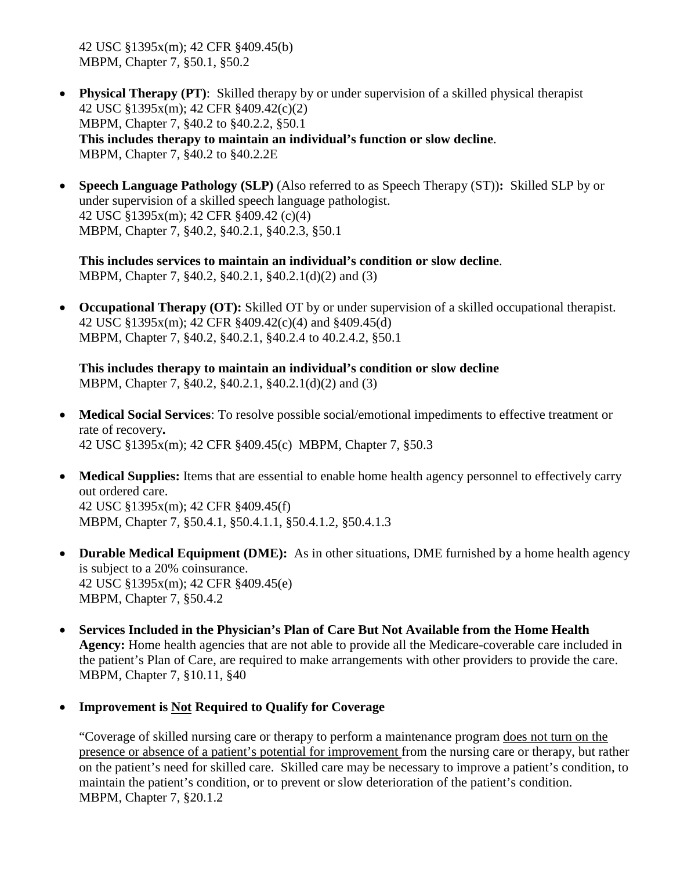42 USC §1395x(m); 42 CFR §409.45(b) MBPM, Chapter 7, §50.1, §50.2

- **Physical Therapy (PT)**: Skilled therapy by or under supervision of a skilled physical therapist 42 USC §1395x(m); 42 CFR §409.42(c)(2) MBPM, Chapter 7, §40.2 to §40.2.2, §50.1 **This includes therapy to maintain an individual's function or slow decline**. MBPM, Chapter 7, §40.2 to §40.2.2E
- **Speech Language Pathology (SLP)** (Also referred to as Speech Therapy (ST))**:** Skilled SLP by or under supervision of a skilled speech language pathologist. 42 USC §1395x(m); 42 CFR §409.42 (c)(4) MBPM, Chapter 7, §40.2, §40.2.1, §40.2.3, §50.1

**This includes services to maintain an individual's condition or slow decline**. MBPM, Chapter 7, §40.2, §40.2.1, §40.2.1(d)(2) and (3)

• **Occupational Therapy (OT):** Skilled OT by or under supervision of a skilled occupational therapist. 42 USC §1395x(m); 42 CFR §409.42(c)(4) and §409.45(d) MBPM, Chapter 7, §40.2, §40.2.1, §40.2.4 to 40.2.4.2, §50.1

**This includes therapy to maintain an individual's condition or slow decline** MBPM, Chapter 7, §40.2, §40.2.1, §40.2.1(d)(2) and (3)

- **Medical Social Services**: To resolve possible social/emotional impediments to effective treatment or rate of recovery**.**  42 USC §1395x(m); 42 CFR §409.45(c) MBPM, Chapter 7, §50.3
- **Medical Supplies:** Items that are essential to enable home health agency personnel to effectively carry out ordered care. 42 USC §1395x(m); 42 CFR §409.45(f) MBPM, Chapter 7, §50.4.1, §50.4.1.1, §50.4.1.2, §50.4.1.3
- **Durable Medical Equipment (DME):** As in other situations, DME furnished by a home health agency is subject to a 20% coinsurance. 42 USC §1395x(m); 42 CFR §409.45(e) MBPM, Chapter 7, §50.4.2
- **Services Included in the Physician's Plan of Care But Not Available from the Home Health Agency:** Home health agencies that are not able to provide all the Medicare-coverable care included in the patient's Plan of Care, are required to make arrangements with other providers to provide the care. MBPM, Chapter 7, §10.11, §40
- **Improvement is Not Required to Qualify for Coverage**

"Coverage of skilled nursing care or therapy to perform a maintenance program does not turn on the presence or absence of a patient's potential for improvement from the nursing care or therapy, but rather on the patient's need for skilled care. Skilled care may be necessary to improve a patient's condition, to maintain the patient's condition, or to prevent or slow deterioration of the patient's condition. MBPM, Chapter 7, §20.1.2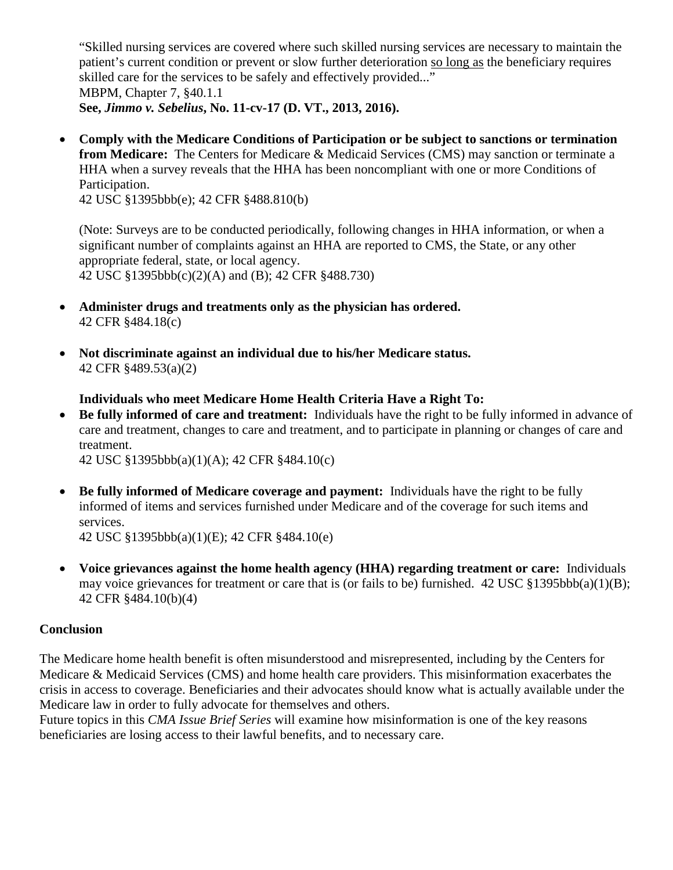"Skilled nursing services are covered where such skilled nursing services are necessary to maintain the patient's current condition or prevent or slow further deterioration so long as the beneficiary requires skilled care for the services to be safely and effectively provided..." MBPM, Chapter 7, §40.1.1 **See,** *Jimmo v. Sebelius***, No. 11-cv-17 (D. VT., 2013, 2016).** 

• **Comply with the Medicare Conditions of Participation or be subject to sanctions or termination from Medicare:** The Centers for Medicare & Medicaid Services (CMS) may sanction or terminate a HHA when a survey reveals that the HHA has been noncompliant with one or more Conditions of Participation.

42 USC §1395bbb(e); 42 CFR §488.810(b)

(Note: Surveys are to be conducted periodically, following changes in HHA information, or when a significant number of complaints against an HHA are reported to CMS, the State, or any other appropriate federal, state, or local agency. 42 USC §1395bbb(c)(2)(A) and (B); 42 CFR §488.730)

- **Administer drugs and treatments only as the physician has ordered.** 42 CFR §484.18(c)
- **Not discriminate against an individual due to his/her Medicare status.** 42 CFR §489.53(a)(2)

**Individuals who meet Medicare Home Health Criteria Have a Right To:**

• **Be fully informed of care and treatment:** Individuals have the right to be fully informed in advance of care and treatment, changes to care and treatment, and to participate in planning or changes of care and treatment.

42 USC §1395bbb(a)(1)(A); 42 CFR §484.10(c)

• **Be fully informed of Medicare coverage and payment:** Individuals have the right to be fully informed of items and services furnished under Medicare and of the coverage for such items and services.

42 USC §1395bbb(a)(1)(E); 42 CFR §484.10(e)

• **Voice grievances against the home health agency (HHA) regarding treatment or care:** Individuals may voice grievances for treatment or care that is (or fails to be) furnished. 42 USC  $\S1395bbb(a)(1)(B)$ ; 42 CFR §484.10(b)(4)

#### **Conclusion**

The Medicare home health benefit is often misunderstood and misrepresented, including by the Centers for Medicare & Medicaid Services (CMS) and home health care providers. This misinformation exacerbates the crisis in access to coverage. Beneficiaries and their advocates should know what is actually available under the Medicare law in order to fully advocate for themselves and others.

Future topics in this *CMA Issue Brief Series* will examine how misinformation is one of the key reasons beneficiaries are losing access to their lawful benefits, and to necessary care.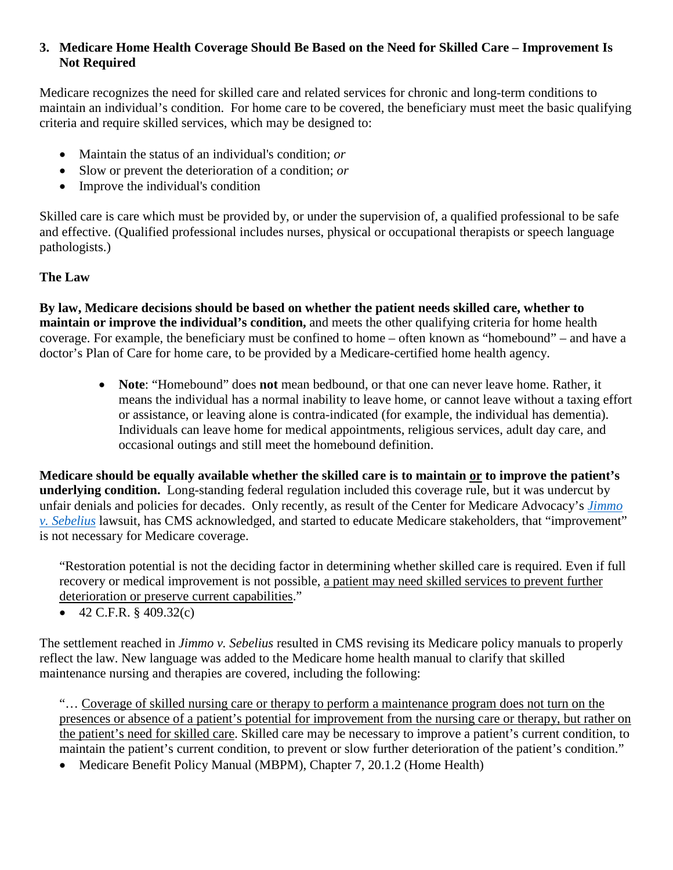#### **3. Medicare Home Health Coverage Should Be Based on the Need for Skilled Care – Improvement Is Not Required**

Medicare recognizes the need for skilled care and related services for chronic and long-term conditions to maintain an individual's condition. For home care to be covered, the beneficiary must meet the basic qualifying criteria and require skilled services, which may be designed to:

- Maintain the status of an individual's condition; *or*
- Slow or prevent the deterioration of a condition; *or*
- Improve the individual's condition

Skilled care is care which must be provided by, or under the supervision of, a qualified professional to be safe and effective. (Qualified professional includes nurses, physical or occupational therapists or speech language pathologists.)

#### **The Law**

**By law, Medicare decisions should be based on whether the patient needs skilled care, whether to maintain or improve the individual's condition,** and meets the other qualifying criteria for home health coverage. For example, the beneficiary must be confined to home – often known as "homebound" – and have a doctor's Plan of Care for home care, to be provided by a Medicare-certified home health agency.

• **Note**: "Homebound" does **not** mean bedbound, or that one can never leave home. Rather, it means the individual has a normal inability to leave home, or cannot leave without a taxing effort or assistance, or leaving alone is contra-indicated (for example, the individual has dementia). Individuals can leave home for medical appointments, religious services, adult day care, and occasional outings and still meet the homebound definition.

**Medicare should be equally available whether the skilled care is to maintain or to improve the patient's underlying condition.** Long-standing federal regulation included this coverage rule, but it was undercut by unfair denials and policies for decades. Only recently, as result of the Center for Medicare Advocacy's *[Jimmo](http://www.medicareadvocacy.org/medicare-info/improvement-standard/) [v. Sebelius](http://www.medicareadvocacy.org/medicare-info/improvement-standard/)* lawsuit, has CMS acknowledged, and started to educate Medicare stakeholders, that "improvement" is not necessary for Medicare coverage.

"Restoration potential is not the deciding factor in determining whether skilled care is required. Even if full recovery or medical improvement is not possible, a patient may need skilled services to prevent further deterioration or preserve current capabilities."

• 42 C.F.R.  $\frac{1}{2}$  409.32(c)

The settlement reached in *Jimmo v. Sebelius* resulted in CMS revising its Medicare policy manuals to properly reflect the law. New language was added to the Medicare home health manual to clarify that skilled maintenance nursing and therapies are covered, including the following:

"… Coverage of skilled nursing care or therapy to perform a maintenance program does not turn on the presences or absence of a patient's potential for improvement from the nursing care or therapy, but rather on the patient's need for skilled care. Skilled care may be necessary to improve a patient's current condition, to maintain the patient's current condition, to prevent or slow further deterioration of the patient's condition."

• Medicare Benefit Policy Manual (MBPM), Chapter 7, 20.1.2 (Home Health)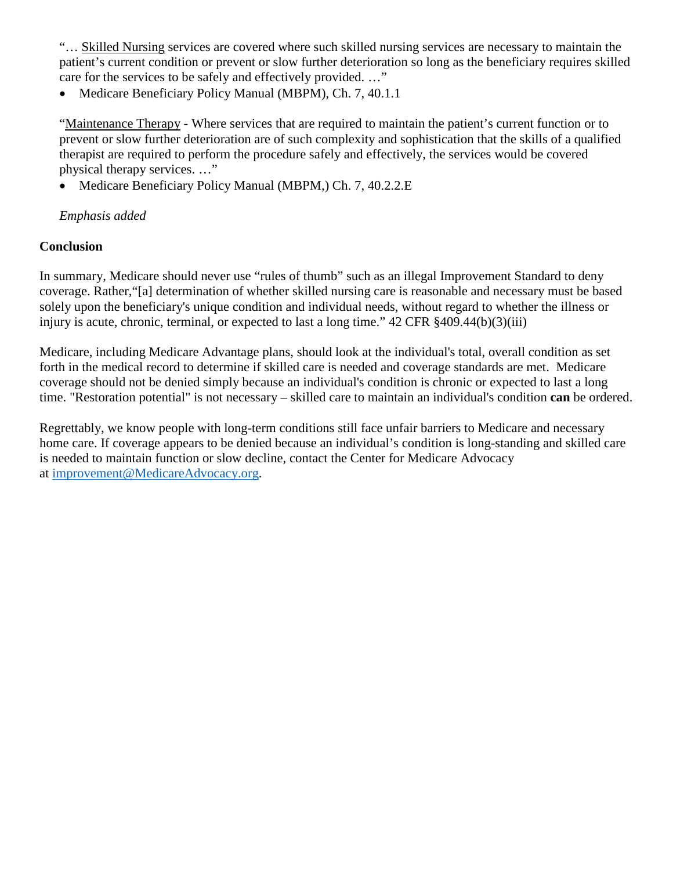"… Skilled Nursing services are covered where such skilled nursing services are necessary to maintain the patient's current condition or prevent or slow further deterioration so long as the beneficiary requires skilled care for the services to be safely and effectively provided. …"

• Medicare Beneficiary Policy Manual (MBPM), Ch. 7, 40.1.1

"Maintenance Therapy - Where services that are required to maintain the patient's current function or to prevent or slow further deterioration are of such complexity and sophistication that the skills of a qualified therapist are required to perform the procedure safely and effectively, the services would be covered physical therapy services. …"

• Medicare Beneficiary Policy Manual (MBPM, Ch. 7, 40.2.2.E)

### *Emphasis added*

### **Conclusion**

In summary, Medicare should never use "rules of thumb" such as an illegal Improvement Standard to deny coverage. Rather,"[a] determination of whether skilled nursing care is reasonable and necessary must be based solely upon the beneficiary's unique condition and individual needs, without regard to whether the illness or injury is acute, chronic, terminal, or expected to last a long time." 42 CFR §409.44(b)(3)(iii)

Medicare, including Medicare Advantage plans, should look at the individual's total, overall condition as set forth in the medical record to determine if skilled care is needed and coverage standards are met. Medicare coverage should not be denied simply because an individual's condition is chronic or expected to last a long time. "Restoration potential" is not necessary – skilled care to maintain an individual's condition **can** be ordered.

Regrettably, we know people with long-term conditions still face unfair barriers to Medicare and necessary home care. If coverage appears to be denied because an individual's condition is long-standing and skilled care is needed to maintain function or slow decline, contact the Center for Medicare Advocacy at [improvement@MedicareAdvocacy.org.](mailto:improvement@MedicareAdvocacy.org)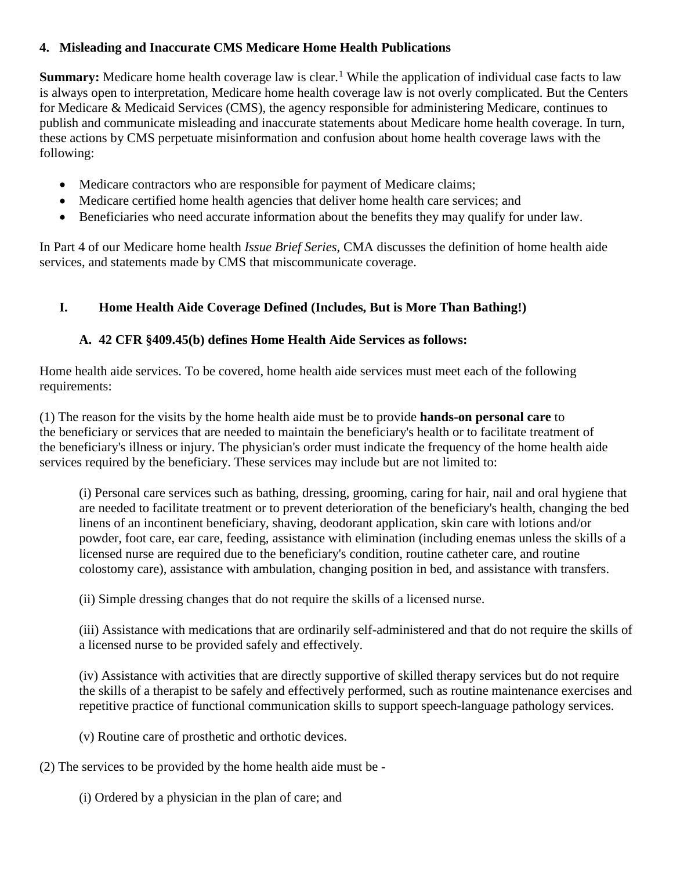### **4. Misleading and Inaccurate CMS Medicare Home Health Publications**

Summary: Medicare home health coverage law is clear.<sup>[1](#page-12-0)</sup> While the application of individual case facts to law is always open to interpretation, Medicare home health coverage law is not overly complicated. But the Centers for Medicare & Medicaid Services (CMS), the agency responsible for administering Medicare, continues to publish and communicate misleading and inaccurate statements about Medicare home health coverage. In turn, these actions by CMS perpetuate misinformation and confusion about home health coverage laws with the following:

- Medicare contractors who are responsible for payment of Medicare claims;
- Medicare certified home health agencies that deliver home health care services; and
- Beneficiaries who need accurate information about the benefits they may qualify for under law.

In Part 4 of our Medicare home health *Issue Brief Series*, CMA discusses the definition of home health aide services, and statements made by CMS that miscommunicate coverage.

# **I. Home Health Aide Coverage Defined (Includes, But is More Than Bathing!)**

### **A. 42 CFR §409.45(b) defines Home Health Aide Services as follows:**

Home health aide services. To be [covered,](https://www.law.cornell.edu/definitions/index.php?width=840&height=800&iframe=true&def_id=d4e32fb48da2cffd3db18cab88557639&term_occur=3&term_src=Title:42:Chapter:IV:Subchapter:B:Part:409:Subpart:E:409.45) home health aide services must meet each of the following requirements:

(1) The reason for the visits by the home health aide must be to provide **hands-on personal care** to the [beneficiary](https://www.law.cornell.edu/definitions/index.php?width=840&height=800&iframe=true&def_id=cc67cafd81a7295c7d81b714c2f651dd&term_occur=5&term_src=Title:42:Chapter:IV:Subchapter:B:Part:409:Subpart:E:409.45) or services that are needed to maintain the [beneficiary's](https://www.law.cornell.edu/definitions/index.php?width=840&height=800&iframe=true&def_id=cc67cafd81a7295c7d81b714c2f651dd&term_occur=7&term_src=Title:42:Chapter:IV:Subchapter:B:Part:409:Subpart:E:409.45) health or to facilitate treatment of the [beneficiary's](https://www.law.cornell.edu/definitions/index.php?width=840&height=800&iframe=true&def_id=cc67cafd81a7295c7d81b714c2f651dd&term_occur=8&term_src=Title:42:Chapter:IV:Subchapter:B:Part:409:Subpart:E:409.45) illness or injury. The physician's order must indicate the frequency of the home health aide services required by the [beneficiary.](https://www.law.cornell.edu/definitions/index.php?width=840&height=800&iframe=true&def_id=cc67cafd81a7295c7d81b714c2f651dd&term_occur=6&term_src=Title:42:Chapter:IV:Subchapter:B:Part:409:Subpart:E:409.45) These services may include but are not limited to:

(i) [Personal care services](https://www.law.cornell.edu/definitions/index.php?width=840&height=800&iframe=true&def_id=53d0d0a140476d3ae7152110fa6703ae&term_occur=1&term_src=Title:42:Chapter:IV:Subchapter:B:Part:409:Subpart:E:409.45) such as bathing, dressing, grooming, caring for hair, nail and oral hygiene that are needed to facilitate treatment or to prevent deterioration of the [beneficiary's](https://www.law.cornell.edu/definitions/index.php?width=840&height=800&iframe=true&def_id=cc67cafd81a7295c7d81b714c2f651dd&term_occur=10&term_src=Title:42:Chapter:IV:Subchapter:B:Part:409:Subpart:E:409.45) health, changing the bed linens of an incontinent [beneficiary,](https://www.law.cornell.edu/definitions/index.php?width=840&height=800&iframe=true&def_id=cc67cafd81a7295c7d81b714c2f651dd&term_occur=9&term_src=Title:42:Chapter:IV:Subchapter:B:Part:409:Subpart:E:409.45) shaving, deodorant application, skin care with lotions and/or powder, foot care, ear care, feeding, assistance with elimination (including enemas unless the skills of a licensed nurse are required due to the [beneficiary'](https://www.law.cornell.edu/definitions/index.php?width=840&height=800&iframe=true&def_id=cc67cafd81a7295c7d81b714c2f651dd&term_occur=11&term_src=Title:42:Chapter:IV:Subchapter:B:Part:409:Subpart:E:409.45)s condition, routine catheter care, and routine colostomy care), assistance with ambulation, changing position in bed, and assistance with transfers.

(ii) Simple dressing changes that do not require the skills of a licensed nurse.

(iii) Assistance with medications that are ordinarily self-administered and that do not require the skills of a licensed nurse to be provided safely and effectively.

(iv) Assistance with activities that are directly supportive of skilled therapy services but do not require the skills of a therapist to be safely and effectively performed, such as routine maintenance exercises and repetitive practice of functional communication skills to support speech-language pathology services.

(v) Routine care of prosthetic and orthotic devices.

(2) The services to be provided by the home health aide must be -

(i) Ordered by a physician in the plan of care; and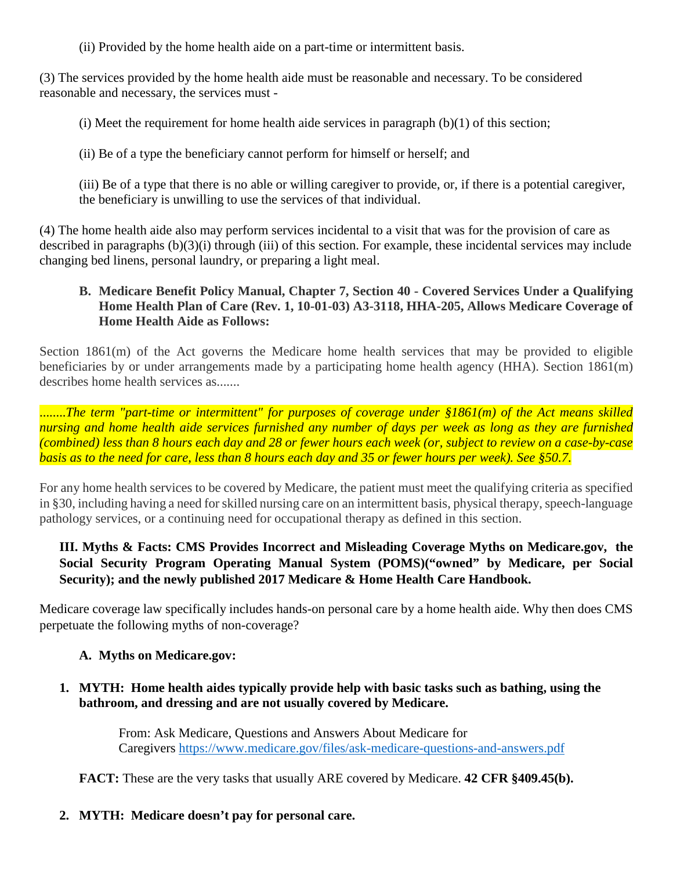(ii) Provided by the home health aide on a part-time or intermittent basis.

(3) The services provided by the home health aide must be reasonable and necessary. To be considered reasonable and necessary, the services must -

(i) Meet the requirement for home health aide services in paragraph  $(b)(1)$  of this section;

(ii) Be of a type the [beneficiary](https://www.law.cornell.edu/definitions/index.php?width=840&height=800&iframe=true&def_id=cc67cafd81a7295c7d81b714c2f651dd&term_occur=12&term_src=Title:42:Chapter:IV:Subchapter:B:Part:409:Subpart:E:409.45) cannot perform for himself or herself; and

(iii) Be of a type that there is no able or willing caregiver to provide, or, if there is a potential caregiver, the [beneficiary](https://www.law.cornell.edu/definitions/index.php?width=840&height=800&iframe=true&def_id=cc67cafd81a7295c7d81b714c2f651dd&term_occur=13&term_src=Title:42:Chapter:IV:Subchapter:B:Part:409:Subpart:E:409.45) is unwilling to [use](https://www.law.cornell.edu/definitions/index.php?width=840&height=800&iframe=true&def_id=244883d59939edddd507a8e1c7322149&term_occur=1&term_src=Title:42:Chapter:IV:Subchapter:B:Part:409:Subpart:E:409.45) the services of that [individual.](https://www.law.cornell.edu/definitions/index.php?width=840&height=800&iframe=true&def_id=cf32282993edaebe17a2b351c5dac761&term_occur=1&term_src=Title:42:Chapter:IV:Subchapter:B:Part:409:Subpart:E:409.45)

(4) The home health aide also may perform services incidental to a visit that was for the provision of care as described in paragraphs (b)(3)(i) through (iii) of this section. For example, these incidental services may include changing bed linens, personal laundry, or preparing a light meal.

### **B. Medicare Benefit Policy Manual, Chapter 7, Section 40 - Covered Services Under a Qualifying Home Health Plan of Care (Rev. 1, 10-01-03) A3-3118, HHA-205, Allows Medicare Coverage of Home Health Aide as Follows:**

Section 1861(m) of the Act governs the Medicare home health services that may be provided to eligible beneficiaries by or under arrangements made by a participating home health agency (HHA). Section 1861(m) describes home health services as.......

........*The term "part-time or intermittent" for purposes of coverage under §1861(m) of the Act means skilled nursing and home health aide services furnished any number of days per week as long as they are furnished (combined) less than 8 hours each day and 28 or fewer hours each week (or, subject to review on a case-by-case basis as to the need for care, less than 8 hours each day and 35 or fewer hours per week). See §50.7.*

For any home health services to be covered by Medicare, the patient must meet the qualifying criteria as specified in §30, including having a need for skilled nursing care on an intermittent basis, physical therapy, speech-language pathology services, or a continuing need for occupational therapy as defined in this section.

# **III. Myths & Facts: CMS Provides Incorrect and Misleading Coverage Myths on Medicare.gov, the Social Security Program Operating Manual System (POMS)("owned" by Medicare, per Social Security); and the newly published 2017 Medicare & Home Health Care Handbook.**

Medicare coverage law specifically includes hands-on personal care by a home health aide. Why then does CMS perpetuate the following myths of non-coverage?

# **A. Myths on Medicare.gov:**

**1. MYTH: Home health aides typically provide help with basic tasks such as bathing, using the bathroom, and dressing and are not usually covered by Medicare.** 

> From: Ask Medicare, Questions and Answers About Medicare for Caregivers<https://www.medicare.gov/files/ask-medicare-questions-and-answers.pdf>

**FACT:** These are the very tasks that usually ARE covered by Medicare. **42 CFR §409.45(b).**

# **2. MYTH: Medicare doesn't pay for personal care.**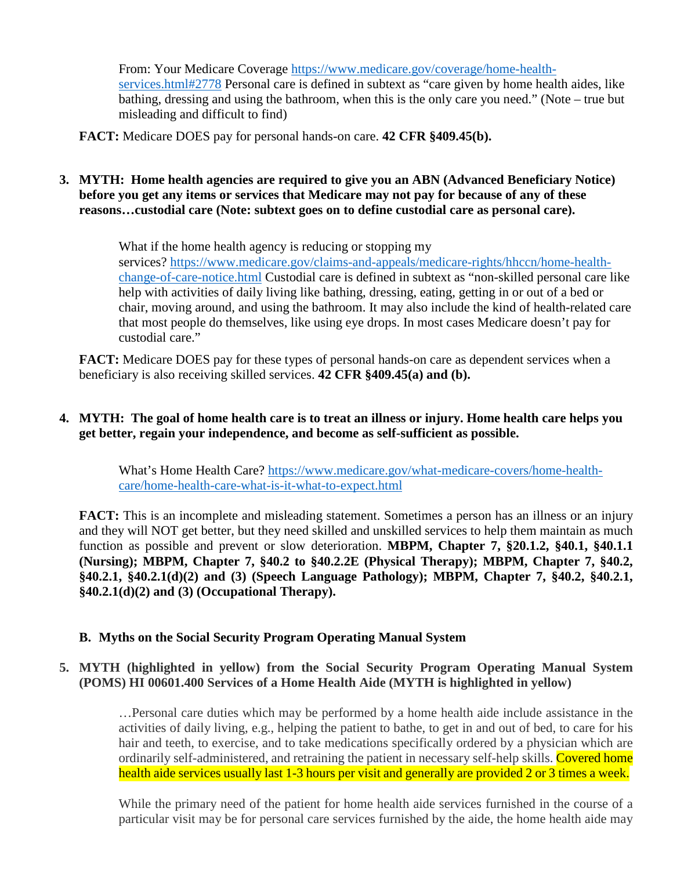From: Your Medicare Coverage [https://www.medicare.gov/coverage/home-health](https://www.medicare.gov/coverage/home-health-services.html#2778)[services.html#2778](https://www.medicare.gov/coverage/home-health-services.html#2778) Personal care is defined in subtext as "care given by home health aides, like bathing, dressing and using the bathroom, when this is the only care you need." (Note – true but misleading and difficult to find)

**FACT:** Medicare DOES pay for personal hands-on care. **42 CFR §409.45(b).**

**3. MYTH: Home health agencies are required to give you an ABN (Advanced Beneficiary Notice) before you get any items or services that Medicare may not pay for because of any of these reasons…custodial care (Note: subtext goes on to define custodial care as personal care).**

> What if the home health agency is reducing or stopping my services? [https://www.medicare.gov/claims-and-appeals/medicare-rights/hhccn/home-health](https://www.medicare.gov/claims-and-appeals/medicare-rights/hhccn/home-health-change-of-care-notice.html)[change-of-care-notice.html](https://www.medicare.gov/claims-and-appeals/medicare-rights/hhccn/home-health-change-of-care-notice.html) Custodial care is defined in subtext as "non-skilled personal care like help with activities of daily living like bathing, dressing, eating, getting in or out of a bed or chair, moving around, and using the bathroom. It may also include the kind of health-related care that most people do themselves, like using eye drops. In most cases Medicare doesn't pay for custodial care."

**FACT:** Medicare DOES pay for these types of personal hands-on care as dependent services when a beneficiary is also receiving skilled services. **42 CFR §409.45(a) and (b).**

#### **4. MYTH: The goal of home health care is to treat an illness or injury. Home health care helps you get better, regain your independence, and become as self-sufficient as possible.**

What's Home Health Care? [https://www.medicare.gov/what-medicare-covers/home-health](https://www.medicare.gov/what-medicare-covers/home-health-care/home-health-care-what-is-it-what-to-expect.html)[care/home-health-care-what-is-it-what-to-expect.html](https://www.medicare.gov/what-medicare-covers/home-health-care/home-health-care-what-is-it-what-to-expect.html)

**FACT:** This is an incomplete and misleading statement. Sometimes a person has an illness or an injury and they will NOT get better, but they need skilled and unskilled services to help them maintain as much function as possible and prevent or slow deterioration. **MBPM, Chapter 7, §20.1.2, §40.1, §40.1.1 (Nursing); MBPM, Chapter 7, §40.2 to §40.2.2E (Physical Therapy); MBPM, Chapter 7, §40.2, §40.2.1, §40.2.1(d)(2) and (3) (Speech Language Pathology); MBPM, Chapter 7, §40.2, §40.2.1, §40.2.1(d)(2) and (3) (Occupational Therapy).**

#### **B. Myths on the Social Security Program Operating Manual System**

#### **5. MYTH (highlighted in yellow) from the Social Security Program Operating Manual System (POMS) HI 00601.400 Services of a Home Health Aide (MYTH is highlighted in yellow)**

…Personal care duties which may be performed by a home health aide include assistance in the activities of daily living, e.g., helping the patient to bathe, to get in and out of bed, to care for his hair and teeth, to exercise, and to take medications specifically ordered by a physician which are ordinarily self-administered, and retraining the patient in necessary self-help skills. Covered home health aide services usually last 1-3 hours per visit and generally are provided 2 or 3 times a week.

While the primary need of the patient for home health aide services furnished in the course of a particular visit may be for personal care services furnished by the aide, the home health aide may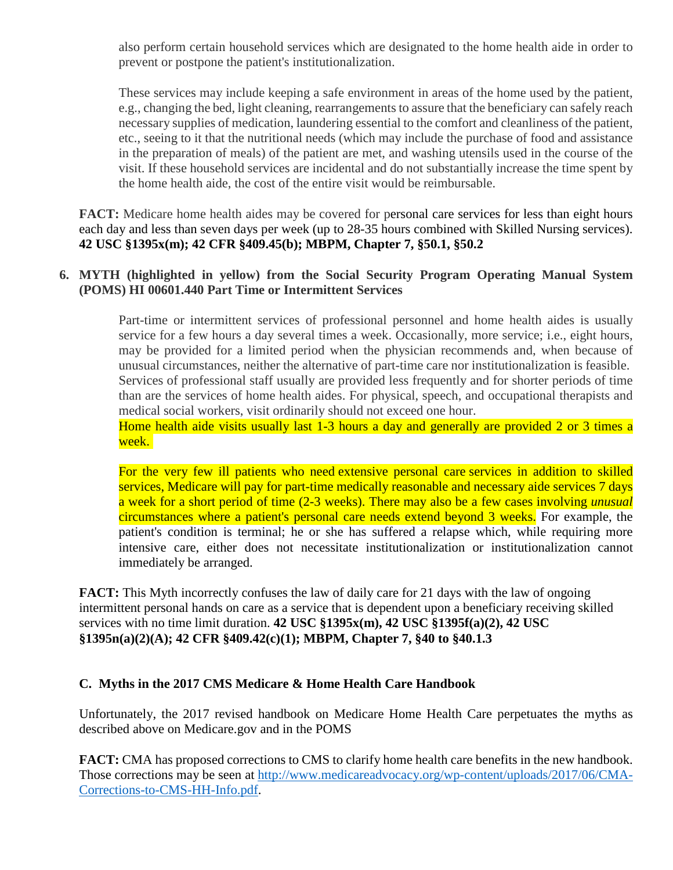also perform certain household services which are designated to the home health aide in order to prevent or postpone the patient's institutionalization.

These services may include keeping a safe environment in areas of the home used by the patient, e.g., changing the bed, light cleaning, rearrangements to assure that the beneficiary can safely reach necessary supplies of medication, laundering essential to the comfort and cleanliness of the patient, etc., seeing to it that the nutritional needs (which may include the purchase of food and assistance in the preparation of meals) of the patient are met, and washing utensils used in the course of the visit. If these household services are incidental and do not substantially increase the time spent by the home health aide, the cost of the entire visit would be reimbursable.

**FACT:** Medicare home health aides may be covered for personal care services for less than eight hours each day and less than seven days per week (up to 28-35 hours combined with Skilled Nursing services). **42 USC §1395x(m); 42 CFR §409.45(b); MBPM, Chapter 7, §50.1, §50.2**

#### **6. MYTH (highlighted in yellow) from the Social Security Program Operating Manual System (POMS) HI 00601.440 Part Time or Intermittent Services**

Part-time or intermittent services of professional personnel and home health aides is usually service for a few hours a day several times a week. Occasionally, more service; i.e., eight hours, may be provided for a limited period when the physician recommends and, when because of unusual circumstances, neither the alternative of part-time care nor institutionalization is feasible. Services of professional staff usually are provided less frequently and for shorter periods of time than are the services of home health aides. For physical, speech, and occupational therapists and medical social workers, visit ordinarily should not exceed one hour.

Home health aide visits usually last 1-3 hours a day and generally are provided 2 or 3 times a week.

For the very few ill patients who need extensive personal care services in addition to skilled services, Medicare will pay for part-time medically reasonable and necessary aide services 7 days a week for a short period of time (2-3 weeks). There may also be a few cases involving *unusual* circumstances where a patient's personal care needs extend beyond 3 weeks. For example, the patient's condition is terminal; he or she has suffered a relapse which, while requiring more intensive care, either does not necessitate institutionalization or institutionalization cannot immediately be arranged.

**FACT:** This Myth incorrectly confuses the law of daily care for 21 days with the law of ongoing intermittent personal hands on care as a service that is dependent upon a beneficiary receiving skilled services with no time limit duration. **42 USC §1395x(m), 42 USC §1395f(a)(2), 42 USC §1395n(a)(2)(A); 42 CFR §409.42(c)(1); MBPM, Chapter 7, §40 to §40.1.3**

#### **C. Myths in the 2017 CMS Medicare & Home Health Care Handbook**

Unfortunately, the 2017 revised handbook on Medicare Home Health Care perpetuates the myths as described above on Medicare.gov and in the POMS

**FACT:** CMA has proposed corrections to CMS to clarify home health care benefits in the new handbook. Those corrections may be seen at [http://www.medicareadvocacy.org/wp-content/uploads/2017/06/CMA-](http://www.medicareadvocacy.org/wp-content/uploads/2017/06/CMA-Corrections-to-CMS-HH-Info.pdf)[Corrections-to-CMS-HH-Info.pdf.](http://www.medicareadvocacy.org/wp-content/uploads/2017/06/CMA-Corrections-to-CMS-HH-Info.pdf)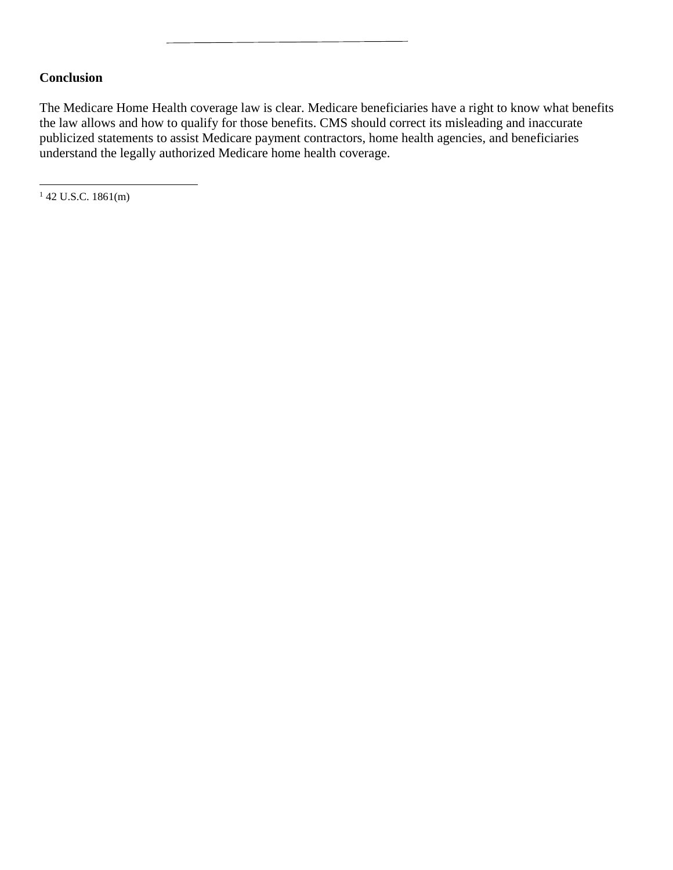#### **Conclusion**

The Medicare Home Health coverage law is clear. Medicare beneficiaries have a right to know what benefits the law allows and how to qualify for those benefits. CMS should correct its misleading and inaccurate publicized statements to assist Medicare payment contractors, home health agencies, and beneficiaries understand the legally authorized Medicare home health coverage.

<span id="page-12-0"></span> $142$  U.S.C. 1861(m)

 $\overline{\phantom{a}}$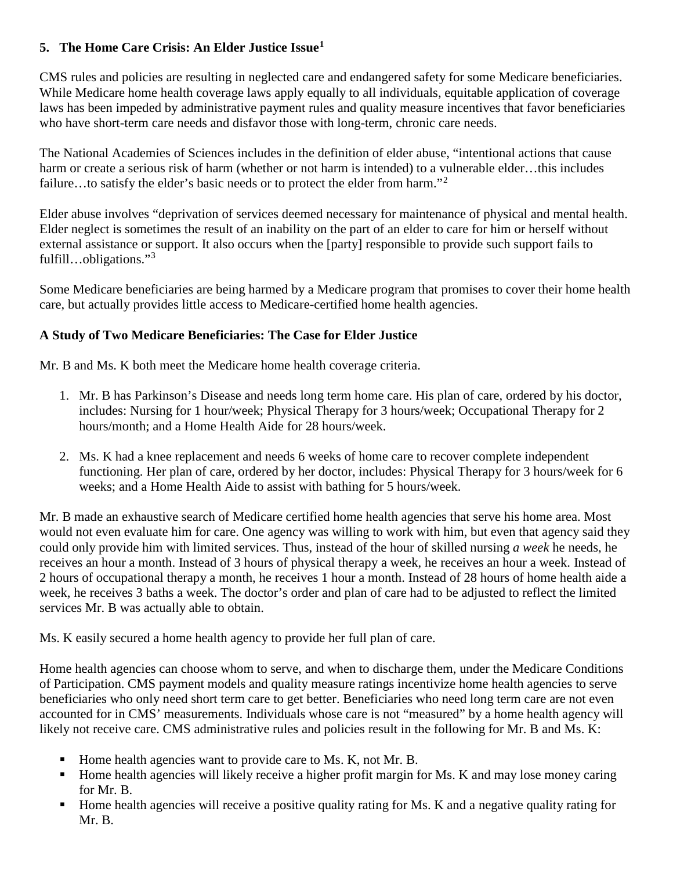# **5. The Home Care Crisis: An Elder Justice Issue[1](#page-14-0)**

CMS rules and policies are resulting in neglected care and endangered safety for some Medicare beneficiaries. While Medicare home health coverage laws apply equally to all individuals, equitable application of coverage laws has been impeded by administrative payment rules and quality measure incentives that favor beneficiaries who have short-term care needs and disfavor those with long-term, chronic care needs.

The National Academies of Sciences includes in the definition of elder abuse, "intentional actions that cause harm or create a serious risk of harm (whether or not harm is intended) to a vulnerable elder...this includes failure...to satisfy the elder's basic needs or to protect the elder from harm."<sup>[2](#page-14-1)</sup>

Elder abuse involves "deprivation of services deemed necessary for maintenance of physical and mental health. Elder neglect is sometimes the result of an inability on the part of an elder to care for him or herself without external assistance or support. It also occurs when the [party] responsible to provide such support fails to fulfill…obligations."[3](#page-14-2)

Some Medicare beneficiaries are being harmed by a Medicare program that promises to cover their home health care, but actually provides little access to Medicare-certified home health agencies.

# **A Study of Two Medicare Beneficiaries: The Case for Elder Justice**

Mr. B and Ms. K both meet the Medicare home health coverage criteria.

- 1. Mr. B has Parkinson's Disease and needs long term home care. His plan of care, ordered by his doctor, includes: Nursing for 1 hour/week; Physical Therapy for 3 hours/week; Occupational Therapy for 2 hours/month; and a Home Health Aide for 28 hours/week.
- 2. Ms. K had a knee replacement and needs 6 weeks of home care to recover complete independent functioning. Her plan of care, ordered by her doctor, includes: Physical Therapy for 3 hours/week for 6 weeks; and a Home Health Aide to assist with bathing for 5 hours/week.

Mr. B made an exhaustive search of Medicare certified home health agencies that serve his home area. Most would not even evaluate him for care. One agency was willing to work with him, but even that agency said they could only provide him with limited services. Thus, instead of the hour of skilled nursing *a week* he needs, he receives an hour a month. Instead of 3 hours of physical therapy a week, he receives an hour a week. Instead of 2 hours of occupational therapy a month, he receives 1 hour a month. Instead of 28 hours of home health aide a week, he receives 3 baths a week. The doctor's order and plan of care had to be adjusted to reflect the limited services Mr. B was actually able to obtain.

Ms. K easily secured a home health agency to provide her full plan of care.

Home health agencies can choose whom to serve, and when to discharge them, under the Medicare Conditions of Participation. CMS payment models and quality measure ratings incentivize home health agencies to serve beneficiaries who only need short term care to get better. Beneficiaries who need long term care are not even accounted for in CMS' measurements. Individuals whose care is not "measured" by a home health agency will likely not receive care. CMS administrative rules and policies result in the following for Mr. B and Ms. K:

- Home health agencies want to provide care to Ms. K, not Mr. B.
- Home health agencies will likely receive a higher profit margin for Ms. K and may lose money caring for Mr. B.
- Home health agencies will receive a positive quality rating for Ms. K and a negative quality rating for Mr. B.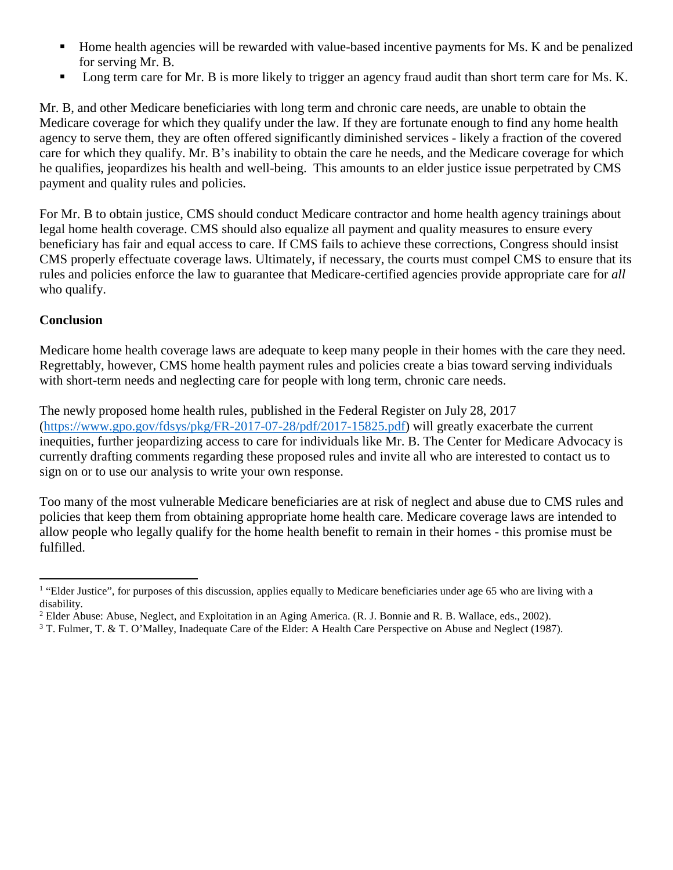- Home health agencies will be rewarded with value-based incentive payments for Ms. K and be penalized for serving Mr. B.
- **Long term care for Mr. B** is more likely to trigger an agency fraud audit than short term care for Ms. K.

Mr. B, and other Medicare beneficiaries with long term and chronic care needs, are unable to obtain the Medicare coverage for which they qualify under the law. If they are fortunate enough to find any home health agency to serve them, they are often offered significantly diminished services - likely a fraction of the covered care for which they qualify. Mr. B's inability to obtain the care he needs, and the Medicare coverage for which he qualifies, jeopardizes his health and well-being. This amounts to an elder justice issue perpetrated by CMS payment and quality rules and policies.

For Mr. B to obtain justice, CMS should conduct Medicare contractor and home health agency trainings about legal home health coverage. CMS should also equalize all payment and quality measures to ensure every beneficiary has fair and equal access to care. If CMS fails to achieve these corrections, Congress should insist CMS properly effectuate coverage laws. Ultimately, if necessary, the courts must compel CMS to ensure that its rules and policies enforce the law to guarantee that Medicare-certified agencies provide appropriate care for *all* who qualify.

# **Conclusion**

l

Medicare home health coverage laws are adequate to keep many people in their homes with the care they need. Regrettably, however, CMS home health payment rules and policies create a bias toward serving individuals with short-term needs and neglecting care for people with long term, chronic care needs.

The newly proposed home health rules, published in the Federal Register on July 28, 2017 [\(https://www.gpo.gov/fdsys/pkg/FR-2017-07-28/pdf/2017-15825.pdf\)](https://www.gpo.gov/fdsys/pkg/FR-2017-07-28/pdf/2017-15825.pdf) will greatly exacerbate the current inequities, further jeopardizing access to care for individuals like Mr. B. The Center for Medicare Advocacy is currently drafting comments regarding these proposed rules and invite all who are interested to contact us to sign on or to use our analysis to write your own response.

Too many of the most vulnerable Medicare beneficiaries are at risk of neglect and abuse due to CMS rules and policies that keep them from obtaining appropriate home health care. Medicare coverage laws are intended to allow people who legally qualify for the home health benefit to remain in their homes - this promise must be fulfilled.

<span id="page-14-0"></span><sup>&</sup>lt;sup>1</sup> "Elder Justice", for purposes of this discussion, applies equally to Medicare beneficiaries under age 65 who are living with a disability.

<span id="page-14-1"></span><sup>&</sup>lt;sup>2</sup> Elder Abuse: Abuse, Neglect, and Exploitation in an Aging America. (R. J. Bonnie and R. B. Wallace, eds., 2002).

<span id="page-14-2"></span><sup>3</sup> T. Fulmer, T. & T. O'Malley, Inadequate Care of the Elder: A Health Care Perspective on Abuse and Neglect (1987).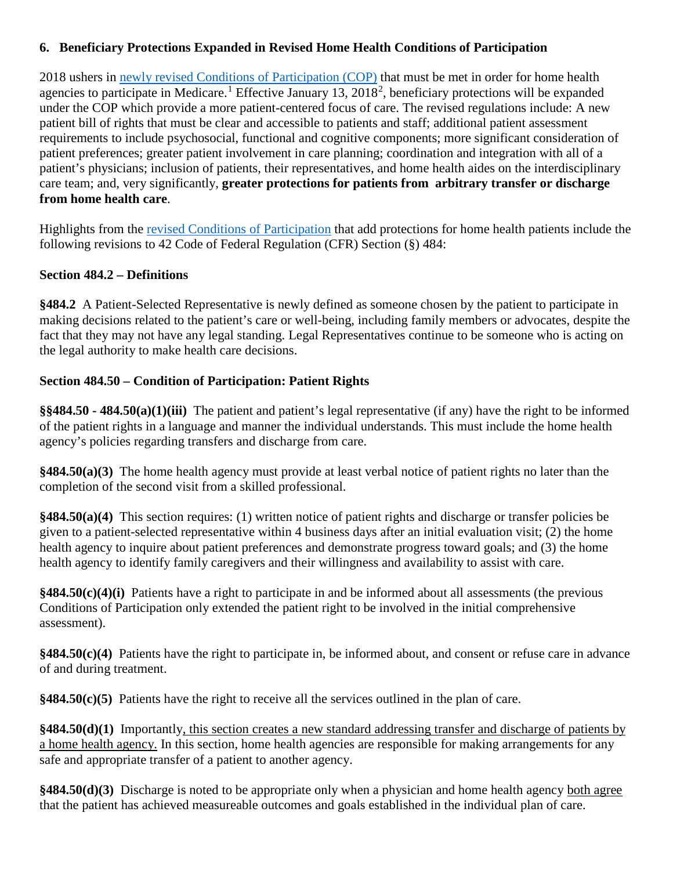### **6. Beneficiary Protections Expanded in Revised Home Health Conditions of Participation**

2018 ushers in [newly revised Conditions of Participation](https://www.gpo.gov/fdsys/pkg/FR-2017-01-13/pdf/2017-00283.pdf) (COP) that must be met in order for home health agencies to participate in Medicare.<sup>[1](#page-17-0)</sup> Effective January 13, [2](#page-17-1)018<sup>2</sup>, beneficiary protections will be expanded under the COP which provide a more patient-centered focus of care. The revised regulations include: A new patient bill of rights that must be clear and accessible to patients and staff; additional patient assessment requirements to include psychosocial, functional and cognitive components; more significant consideration of patient preferences; greater patient involvement in care planning; coordination and integration with all of a patient's physicians; inclusion of patients, their representatives, and home health aides on the interdisciplinary care team; and, very significantly, **greater protections for patients from arbitrary transfer or discharge from home health care**.

Highlights from the [revised Conditions of Participation](https://www.gpo.gov/fdsys/pkg/FR-2017-01-13/pdf/2017-00283.pdf) that add protections for home health patients include the following revisions to 42 Code of Federal Regulation (CFR) Section (§) 484:

### **Section 484.2 – Definitions**

**§484.2** A Patient-Selected Representative is newly defined as someone chosen by the patient to participate in making decisions related to the patient's care or well-being, including family members or advocates, despite the fact that they may not have any legal standing. Legal Representatives continue to be someone who is acting on the legal authority to make health care decisions.

### **Section 484.50 – Condition of Participation: Patient Rights**

**§§484.50 - 484.50(a)(1)(iii)** The patient and patient's legal representative (if any) have the right to be informed of the patient rights in a language and manner the individual understands. This must include the home health agency's policies regarding transfers and discharge from care.

**§484.50(a)(3)** The home health agency must provide at least verbal notice of patient rights no later than the completion of the second visit from a skilled professional.

**§484.50(a)(4)** This section requires: (1) written notice of patient rights and discharge or transfer policies be given to a patient-selected representative within 4 business days after an initial evaluation visit; (2) the home health agency to inquire about patient preferences and demonstrate progress toward goals; and (3) the home health agency to identify family caregivers and their willingness and availability to assist with care.

**§484.50(c)(4)(i)** Patients have a right to participate in and be informed about all assessments (the previous Conditions of Participation only extended the patient right to be involved in the initial comprehensive assessment).

**§484.50(c)(4)** Patients have the right to participate in, be informed about, and consent or refuse care in advance of and during treatment.

**§484.50(c)(5)** Patients have the right to receive all the services outlined in the plan of care.

**§484.50(d)(1)** Importantly, this section creates a new standard addressing transfer and discharge of patients by a home health agency. In this section, home health agencies are responsible for making arrangements for any safe and appropriate transfer of a patient to another agency.

**§484.50(d)(3)** Discharge is noted to be appropriate only when a physician and home health agency both agree that the patient has achieved measureable outcomes and goals established in the individual plan of care.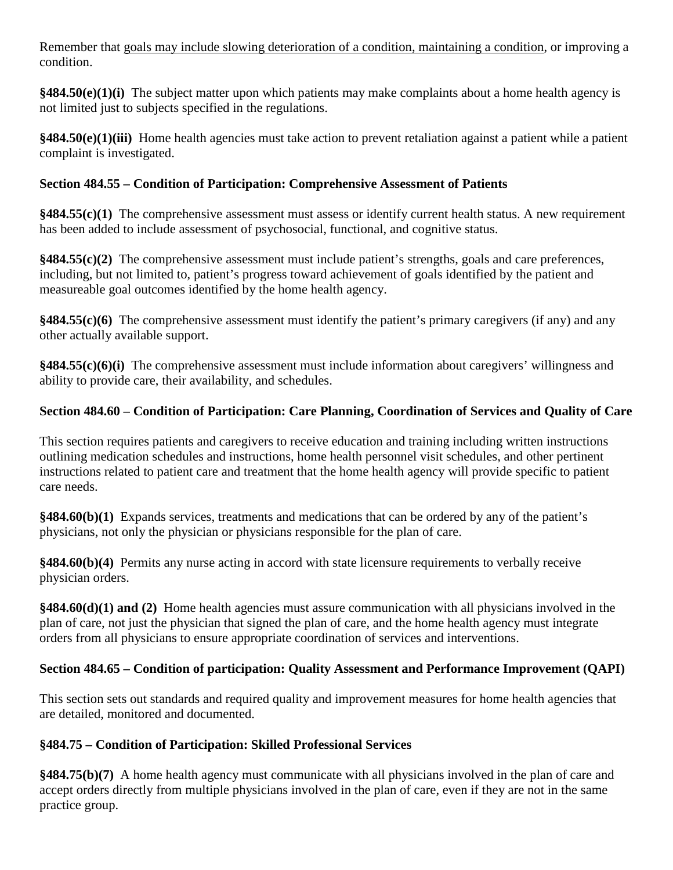Remember that goals may include slowing deterioration of a condition, maintaining a condition, or improving a condition.

**§484.50(e)(1)(i)** The subject matter upon which patients may make complaints about a home health agency is not limited just to subjects specified in the regulations.

**§484.50(e)(1)(iii)** Home health agencies must take action to prevent retaliation against a patient while a patient complaint is investigated.

# **Section 484.55 – Condition of Participation: Comprehensive Assessment of Patients**

**§484.55(c)(1)** The comprehensive assessment must assess or identify current health status. A new requirement has been added to include assessment of psychosocial, functional, and cognitive status.

**§484.55(c)(2)** The comprehensive assessment must include patient's strengths, goals and care preferences, including, but not limited to, patient's progress toward achievement of goals identified by the patient and measureable goal outcomes identified by the home health agency.

**§484.55(c)(6)** The comprehensive assessment must identify the patient's primary caregivers (if any) and any other actually available support.

**§484.55(c)(6)(i)** The comprehensive assessment must include information about caregivers' willingness and ability to provide care, their availability, and schedules.

# **Section 484.60 – Condition of Participation: Care Planning, Coordination of Services and Quality of Care**

This section requires patients and caregivers to receive education and training including written instructions outlining medication schedules and instructions, home health personnel visit schedules, and other pertinent instructions related to patient care and treatment that the home health agency will provide specific to patient care needs.

**§484.60(b)(1)** Expands services, treatments and medications that can be ordered by any of the patient's physicians, not only the physician or physicians responsible for the plan of care.

**§484.60(b)(4)** Permits any nurse acting in accord with state licensure requirements to verbally receive physician orders.

**§484.60(d)(1) and (2)** Home health agencies must assure communication with all physicians involved in the plan of care, not just the physician that signed the plan of care, and the home health agency must integrate orders from all physicians to ensure appropriate coordination of services and interventions.

# **Section 484.65 – Condition of participation: Quality Assessment and Performance Improvement (QAPI)**

This section sets out standards and required quality and improvement measures for home health agencies that are detailed, monitored and documented.

# **§484.75 – Condition of Participation: Skilled Professional Services**

**§484.75(b)(7)** A home health agency must communicate with all physicians involved in the plan of care and accept orders directly from multiple physicians involved in the plan of care, even if they are not in the same practice group.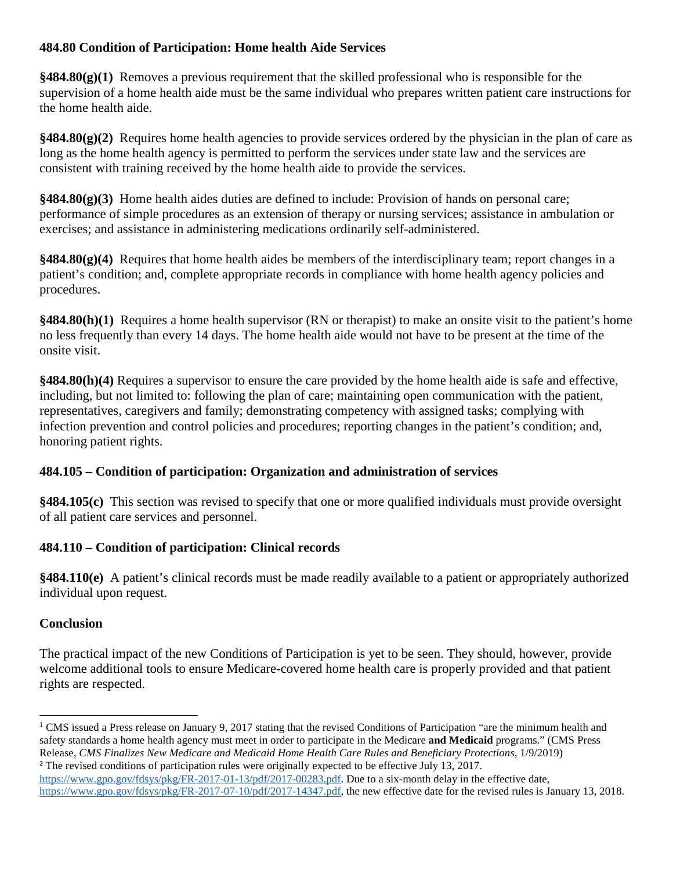# **484.80 Condition of Participation: Home health Aide Services**

**§484.80(g)(1)** Removes a previous requirement that the skilled professional who is responsible for the supervision of a home health aide must be the same individual who prepares written patient care instructions for the home health aide.

**§484.80(g)(2)** Requires home health agencies to provide services ordered by the physician in the plan of care as long as the home health agency is permitted to perform the services under state law and the services are consistent with training received by the home health aide to provide the services.

**§484.80(g)(3)** Home health aides duties are defined to include: Provision of hands on personal care; performance of simple procedures as an extension of therapy or nursing services; assistance in ambulation or exercises; and assistance in administering medications ordinarily self-administered.

**§484.80(g)(4)** Requires that home health aides be members of the interdisciplinary team; report changes in a patient's condition; and, complete appropriate records in compliance with home health agency policies and procedures.

**§484.80(h)(1)** Requires a home health supervisor (RN or therapist) to make an onsite visit to the patient's home no less frequently than every 14 days. The home health aide would not have to be present at the time of the onsite visit.

**§484.80(h)(4)** Requires a supervisor to ensure the care provided by the home health aide is safe and effective, including, but not limited to: following the plan of care; maintaining open communication with the patient, representatives, caregivers and family; demonstrating competency with assigned tasks; complying with infection prevention and control policies and procedures; reporting changes in the patient's condition; and, honoring patient rights.

# **484.105 – Condition of participation: Organization and administration of services**

**§484.105(c)** This section was revised to specify that one or more qualified individuals must provide oversight of all patient care services and personnel.

# **484.110 – Condition of participation: Clinical records**

**§484.110(e)** A patient's clinical records must be made readily available to a patient or appropriately authorized individual upon request.

#### **Conclusion**

The practical impact of the new Conditions of Participation is yet to be seen. They should, however, provide welcome additional tools to ensure Medicare-covered home health care is properly provided and that patient rights are respected.

<span id="page-17-0"></span><sup>&</sup>lt;sup>1</sup> CMS issued a Press release on January 9, 2017 stating that the revised Conditions of Participation "are the minimum health and safety standards a home health agency must meet in order to participate in the Medicare **and Medicaid** programs." (CMS Press Release, *CMS Finalizes New Medicare and Medicaid Home Health Care Rules and Beneficiary Protections*, 1/9/2019) <sup>2</sup> The revised conditions of participation rules were originally expected to be effective July 13, 2017.  $\overline{\phantom{a}}$ 

<span id="page-17-1"></span>[https://www.gpo.gov/fdsys/pkg/FR-2017-01-13/pdf/2017-00283.pdf.](https://www.gpo.gov/fdsys/pkg/FR-2017-01-13/pdf/2017-00283.pdf) Due to a six-month delay in the effective date, [https://www.gpo.gov/fdsys/pkg/FR-2017-07-10/pdf/2017-14347.pdf,](https://www.gpo.gov/fdsys/pkg/FR-2017-07-10/pdf/2017-14347.pdf) the new effective date for the revised rules is January 13, 2018.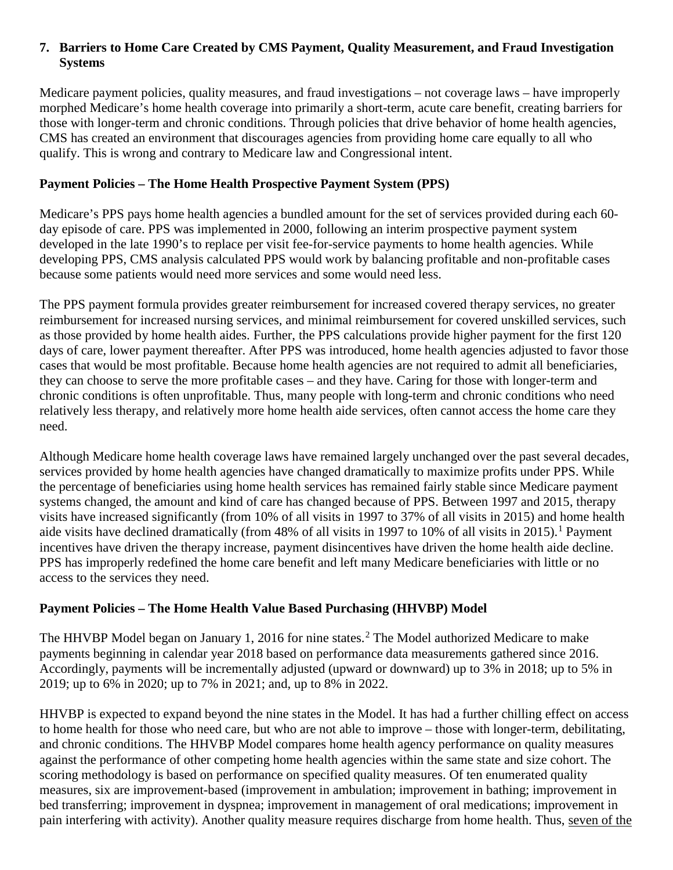### **7. Barriers to Home Care Created by CMS Payment, Quality Measurement, and Fraud Investigation Systems**

Medicare payment policies, quality measures, and fraud investigations – not coverage laws – have improperly morphed Medicare's home health coverage into primarily a short-term, acute care benefit, creating barriers for those with longer-term and chronic conditions. Through policies that drive behavior of home health agencies, CMS has created an environment that discourages agencies from providing home care equally to all who qualify. This is wrong and contrary to Medicare law and Congressional intent.

### **Payment Policies – The Home Health Prospective Payment System (PPS)**

Medicare's PPS pays home health agencies a bundled amount for the set of services provided during each 60day episode of care. PPS was implemented in 2000, following an interim prospective payment system developed in the late 1990's to replace per visit fee-for-service payments to home health agencies. While developing PPS, CMS analysis calculated PPS would work by balancing profitable and non-profitable cases because some patients would need more services and some would need less.

The PPS payment formula provides greater reimbursement for increased covered therapy services, no greater reimbursement for increased nursing services, and minimal reimbursement for covered unskilled services, such as those provided by home health aides. Further, the PPS calculations provide higher payment for the first 120 days of care, lower payment thereafter. After PPS was introduced, home health agencies adjusted to favor those cases that would be most profitable. Because home health agencies are not required to admit all beneficiaries, they can choose to serve the more profitable cases – and they have. Caring for those with longer-term and chronic conditions is often unprofitable. Thus, many people with long-term and chronic conditions who need relatively less therapy, and relatively more home health aide services, often cannot access the home care they need.

Although Medicare home health coverage laws have remained largely unchanged over the past several decades, services provided by home health agencies have changed dramatically to maximize profits under PPS. While the percentage of beneficiaries using home health services has remained fairly stable since Medicare payment systems changed, the amount and kind of care has changed because of PPS. Between 1997 and 2015, therapy visits have increased significantly (from 10% of all visits in 1997 to 37% of all visits in 2015) and home health aide visits have declined dramatically (from 48% of all visits in [1](#page-21-0)997 to 10% of all visits in 2015).<sup>1</sup> Payment incentives have driven the therapy increase, payment disincentives have driven the home health aide decline. PPS has improperly redefined the home care benefit and left many Medicare beneficiaries with little or no access to the services they need.

#### **Payment Policies – The Home Health Value Based Purchasing (HHVBP) Model**

The HHVBP Model began on January 1, 2016 for nine states. [2](#page-21-1) The Model authorized Medicare to make payments beginning in calendar year 2018 based on performance data measurements gathered since 2016. Accordingly, payments will be incrementally adjusted (upward or downward) up to 3% in 2018; up to 5% in 2019; up to 6% in 2020; up to 7% in 2021; and, up to 8% in 2022.

HHVBP is expected to expand beyond the nine states in the Model. It has had a further chilling effect on access to home health for those who need care, but who are not able to improve – those with longer-term, debilitating, and chronic conditions. The HHVBP Model compares home health agency performance on quality measures against the performance of other competing home health agencies within the same state and size cohort. The scoring methodology is based on performance on specified quality measures. Of ten enumerated quality measures, six are improvement-based (improvement in ambulation; improvement in bathing; improvement in bed transferring; improvement in dyspnea; improvement in management of oral medications; improvement in pain interfering with activity). Another quality measure requires discharge from home health. Thus, seven of the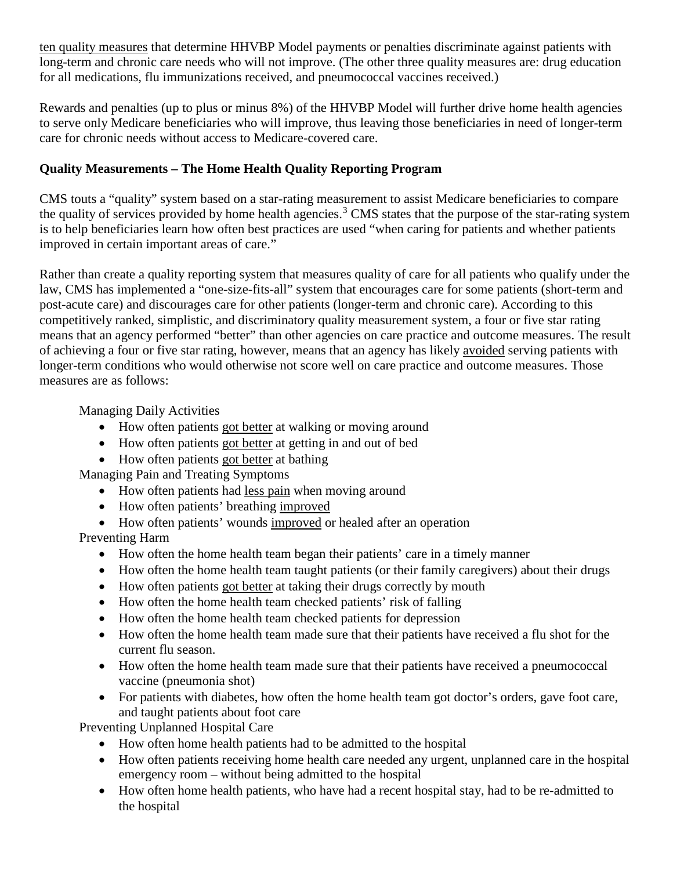ten quality measures that determine HHVBP Model payments or penalties discriminate against patients with long-term and chronic care needs who will not improve. (The other three quality measures are: drug education for all medications, flu immunizations received, and pneumococcal vaccines received.)

Rewards and penalties (up to plus or minus 8%) of the HHVBP Model will further drive home health agencies to serve only Medicare beneficiaries who will improve, thus leaving those beneficiaries in need of longer-term care for chronic needs without access to Medicare-covered care.

# **Quality Measurements – The Home Health Quality Reporting Program**

CMS touts a "quality" system based on a star-rating measurement to assist Medicare beneficiaries to compare the quality of services provided by home health agencies.<sup>[3](#page-21-2)</sup> CMS states that the purpose of the star-rating system is to help beneficiaries learn how often best practices are used "when caring for patients and whether patients improved in certain important areas of care."

Rather than create a quality reporting system that measures quality of care for all patients who qualify under the law, CMS has implemented a "one-size-fits-all" system that encourages care for some patients (short-term and post-acute care) and discourages care for other patients (longer-term and chronic care). According to this competitively ranked, simplistic, and discriminatory quality measurement system, a four or five star rating means that an agency performed "better" than other agencies on care practice and outcome measures. The result of achieving a four or five star rating, however, means that an agency has likely avoided serving patients with longer-term conditions who would otherwise not score well on care practice and outcome measures. Those measures are as follows:

Managing Daily Activities

- How often patients got better at walking or moving around
- How often patients got better at getting in and out of bed
- How often patients got better at bathing

Managing Pain and Treating Symptoms

- How often patients had less pain when moving around
- How often patients' breathing improved
- How often patients' wounds improved or healed after an operation

Preventing Harm

- How often the home health team began their patients' care in a timely manner
- How often the home health team taught patients (or their family caregivers) about their drugs
- How often patients got better at taking their drugs correctly by mouth
- How often the home health team checked patients' risk of falling
- How often the home health team checked patients for depression
- How often the home health team made sure that their patients have received a flu shot for the current flu season.
- How often the home health team made sure that their patients have received a pneumococcal vaccine (pneumonia shot)
- For patients with diabetes, how often the home health team got doctor's orders, gave foot care, and taught patients about foot care

Preventing Unplanned Hospital Care

- How often home health patients had to be admitted to the hospital
- How often patients receiving home health care needed any urgent, unplanned care in the hospital emergency room – without being admitted to the hospital
- How often home health patients, who have had a recent hospital stay, had to be re-admitted to the hospital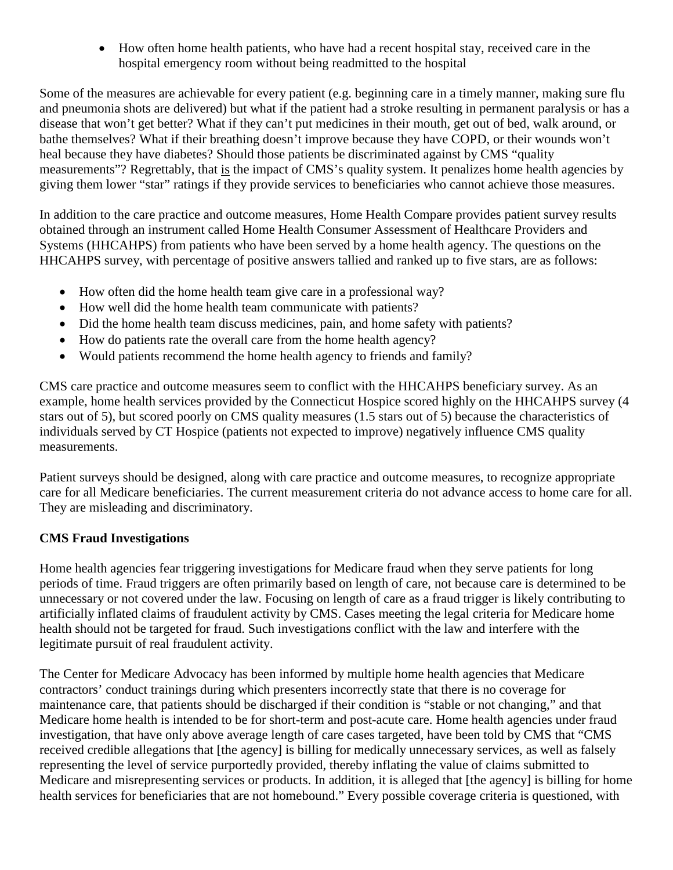• How often home health patients, who have had a recent hospital stay, received care in the hospital emergency room without being readmitted to the hospital

Some of the measures are achievable for every patient (e.g. beginning care in a timely manner, making sure flu and pneumonia shots are delivered) but what if the patient had a stroke resulting in permanent paralysis or has a disease that won't get better? What if they can't put medicines in their mouth, get out of bed, walk around, or bathe themselves? What if their breathing doesn't improve because they have COPD, or their wounds won't heal because they have diabetes? Should those patients be discriminated against by CMS "quality measurements"? Regrettably, that is the impact of CMS's quality system. It penalizes home health agencies by giving them lower "star" ratings if they provide services to beneficiaries who cannot achieve those measures.

In addition to the care practice and outcome measures, Home Health Compare provides patient survey results obtained through an instrument called Home Health Consumer Assessment of Healthcare Providers and Systems (HHCAHPS) from patients who have been served by a home health agency. The questions on the HHCAHPS survey, with percentage of positive answers tallied and ranked up to five stars, are as follows:

- How often did the home health team give care in a professional way?
- How well did the home health team communicate with patients?
- Did the home health team discuss medicines, pain, and home safety with patients?
- How do patients rate the overall care from the home health agency?
- Would patients recommend the home health agency to friends and family?

CMS care practice and outcome measures seem to conflict with the HHCAHPS beneficiary survey. As an example, home health services provided by the Connecticut Hospice scored highly on the HHCAHPS survey (4 stars out of 5), but scored poorly on CMS quality measures (1.5 stars out of 5) because the characteristics of individuals served by CT Hospice (patients not expected to improve) negatively influence CMS quality measurements.

Patient surveys should be designed, along with care practice and outcome measures, to recognize appropriate care for all Medicare beneficiaries. The current measurement criteria do not advance access to home care for all. They are misleading and discriminatory.

#### **CMS Fraud Investigations**

Home health agencies fear triggering investigations for Medicare fraud when they serve patients for long periods of time. Fraud triggers are often primarily based on length of care, not because care is determined to be unnecessary or not covered under the law. Focusing on length of care as a fraud trigger is likely contributing to artificially inflated claims of fraudulent activity by CMS. Cases meeting the legal criteria for Medicare home health should not be targeted for fraud. Such investigations conflict with the law and interfere with the legitimate pursuit of real fraudulent activity.

The Center for Medicare Advocacy has been informed by multiple home health agencies that Medicare contractors' conduct trainings during which presenters incorrectly state that there is no coverage for maintenance care, that patients should be discharged if their condition is "stable or not changing," and that Medicare home health is intended to be for short-term and post-acute care. Home health agencies under fraud investigation, that have only above average length of care cases targeted, have been told by CMS that "CMS received credible allegations that [the agency] is billing for medically unnecessary services, as well as falsely representing the level of service purportedly provided, thereby inflating the value of claims submitted to Medicare and misrepresenting services or products. In addition, it is alleged that [the agency] is billing for home health services for beneficiaries that are not homebound." Every possible coverage criteria is questioned, with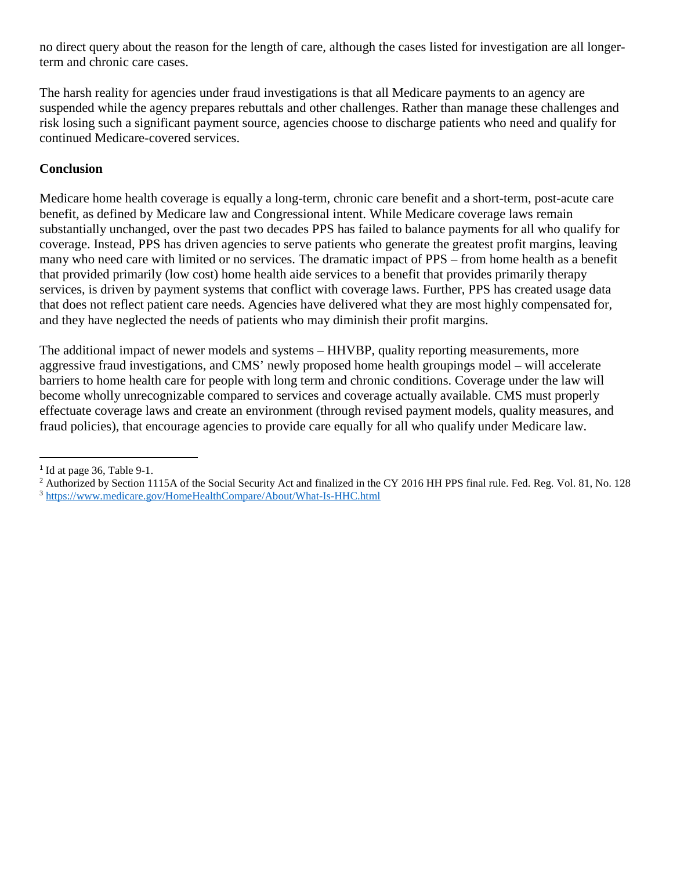no direct query about the reason for the length of care, although the cases listed for investigation are all longerterm and chronic care cases.

The harsh reality for agencies under fraud investigations is that all Medicare payments to an agency are suspended while the agency prepares rebuttals and other challenges. Rather than manage these challenges and risk losing such a significant payment source, agencies choose to discharge patients who need and qualify for continued Medicare-covered services.

### **Conclusion**

Medicare home health coverage is equally a long-term, chronic care benefit and a short-term, post-acute care benefit, as defined by Medicare law and Congressional intent. While Medicare coverage laws remain substantially unchanged, over the past two decades PPS has failed to balance payments for all who qualify for coverage. Instead, PPS has driven agencies to serve patients who generate the greatest profit margins, leaving many who need care with limited or no services. The dramatic impact of PPS – from home health as a benefit that provided primarily (low cost) home health aide services to a benefit that provides primarily therapy services, is driven by payment systems that conflict with coverage laws. Further, PPS has created usage data that does not reflect patient care needs. Agencies have delivered what they are most highly compensated for, and they have neglected the needs of patients who may diminish their profit margins.

The additional impact of newer models and systems – HHVBP, quality reporting measurements, more aggressive fraud investigations, and CMS' newly proposed home health groupings model – will accelerate barriers to home health care for people with long term and chronic conditions. Coverage under the law will become wholly unrecognizable compared to services and coverage actually available. CMS must properly effectuate coverage laws and create an environment (through revised payment models, quality measures, and fraud policies), that encourage agencies to provide care equally for all who qualify under Medicare law.

 $\overline{a}$ 

<span id="page-21-0"></span> $1$  Id at page 36, Table 9-1.

<span id="page-21-2"></span><span id="page-21-1"></span><sup>&</sup>lt;sup>2</sup> Authorized by Section 1115A of the Social Security Act and finalized in the CY 2016 HH PPS final rule. Fed. Reg. Vol. 81, No. 128 <sup>3</sup> <https://www.medicare.gov/HomeHealthCompare/About/What-Is-HHC.html>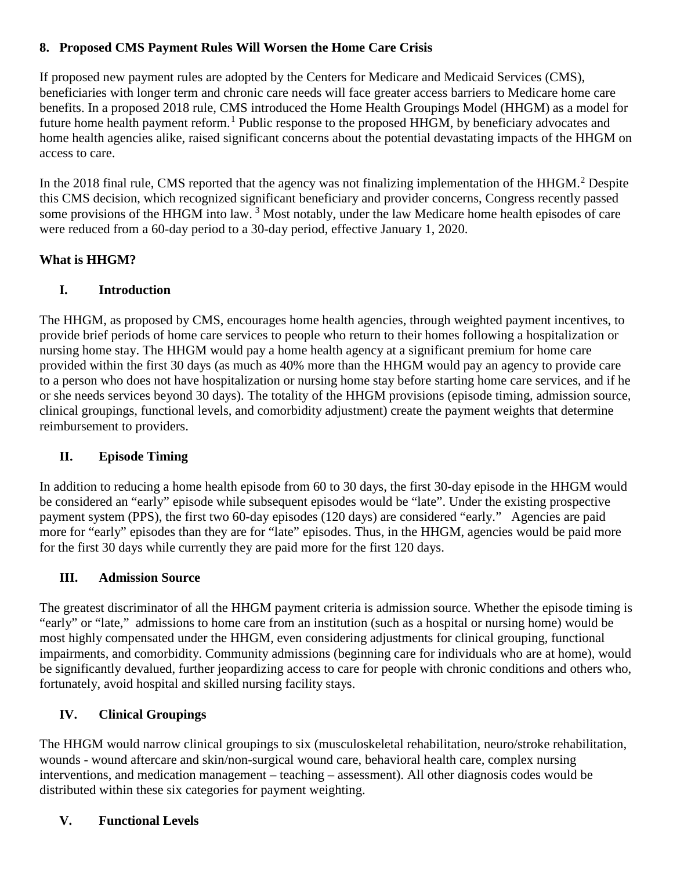# **8. Proposed CMS Payment Rules Will Worsen the Home Care Crisis**

If proposed new payment rules are adopted by the Centers for Medicare and Medicaid Services (CMS), beneficiaries with longer term and chronic care needs will face greater access barriers to Medicare home care benefits. In a proposed 2018 rule, CMS introduced the Home Health Groupings Model (HHGM) as a model for future home health payment reform.<sup>[1](#page-24-0)</sup> Public response to the proposed HHGM, by beneficiary advocates and home health agencies alike, raised significant concerns about the potential devastating impacts of the HHGM on access to care.

In the [2](#page-24-1)018 final rule, CMS reported that the agency was not finalizing implementation of the HHGM.<sup>2</sup> Despite this CMS decision, which recognized significant beneficiary and provider concerns, Congress recently passed some provisions of the HHGM into law.<sup>[3](#page-24-2)</sup> Most notably, under the law Medicare home health episodes of care were reduced from a 60-day period to a 30-day period, effective January 1, 2020.

# **What is HHGM?**

# **I. Introduction**

The HHGM, as proposed by CMS, encourages home health agencies, through weighted payment incentives, to provide brief periods of home care services to people who return to their homes following a hospitalization or nursing home stay. The HHGM would pay a home health agency at a significant premium for home care provided within the first 30 days (as much as 40% more than the HHGM would pay an agency to provide care to a person who does not have hospitalization or nursing home stay before starting home care services, and if he or she needs services beyond 30 days). The totality of the HHGM provisions (episode timing, admission source, clinical groupings, functional levels, and comorbidity adjustment) create the payment weights that determine reimbursement to providers.

# **II. Episode Timing**

In addition to reducing a home health episode from 60 to 30 days, the first 30-day episode in the HHGM would be considered an "early" episode while subsequent episodes would be "late". Under the existing prospective payment system (PPS), the first two 60-day episodes (120 days) are considered "early." Agencies are paid more for "early" episodes than they are for "late" episodes. Thus, in the HHGM, agencies would be paid more for the first 30 days while currently they are paid more for the first 120 days.

# **III. Admission Source**

The greatest discriminator of all the HHGM payment criteria is admission source. Whether the episode timing is "early" or "late," admissions to home care from an institution (such as a hospital or nursing home) would be most highly compensated under the HHGM, even considering adjustments for clinical grouping, functional impairments, and comorbidity. Community admissions (beginning care for individuals who are at home), would be significantly devalued, further jeopardizing access to care for people with chronic conditions and others who, fortunately, avoid hospital and skilled nursing facility stays.

# **IV. Clinical Groupings**

The HHGM would narrow clinical groupings to six (musculoskeletal rehabilitation, neuro/stroke rehabilitation, wounds - wound aftercare and skin/non-surgical wound care, behavioral health care, complex nursing interventions, and medication management – teaching – assessment). All other diagnosis codes would be distributed within these six categories for payment weighting.

# **V. Functional Levels**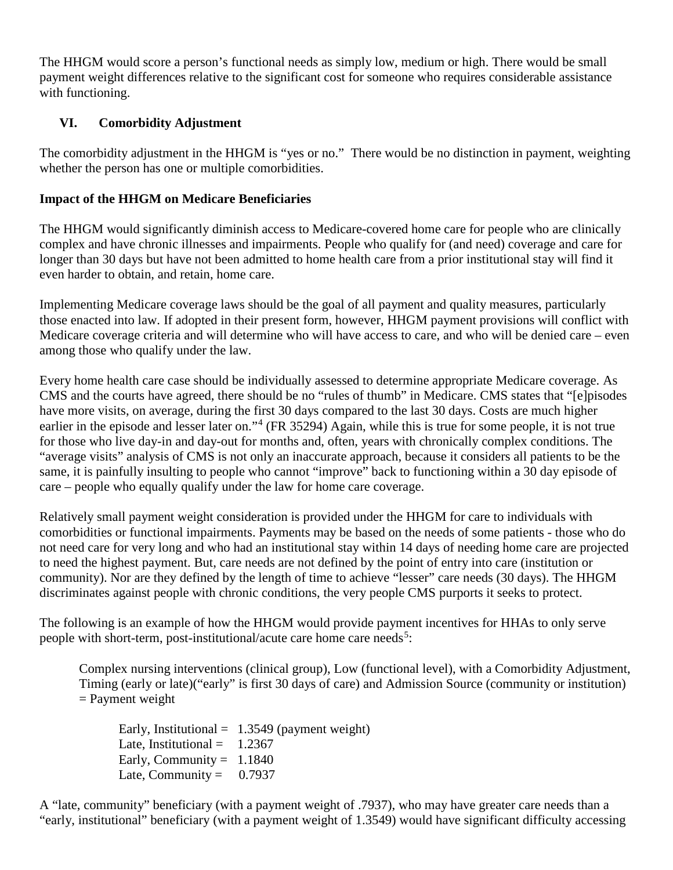The HHGM would score a person's functional needs as simply low, medium or high. There would be small payment weight differences relative to the significant cost for someone who requires considerable assistance with functioning.

# **VI. Comorbidity Adjustment**

The comorbidity adjustment in the HHGM is "yes or no." There would be no distinction in payment, weighting whether the person has one or multiple comorbidities.

# **Impact of the HHGM on Medicare Beneficiaries**

The HHGM would significantly diminish access to Medicare-covered home care for people who are clinically complex and have chronic illnesses and impairments. People who qualify for (and need) coverage and care for longer than 30 days but have not been admitted to home health care from a prior institutional stay will find it even harder to obtain, and retain, home care.

Implementing Medicare coverage laws should be the goal of all payment and quality measures, particularly those enacted into law. If adopted in their present form, however, HHGM payment provisions will conflict with Medicare coverage criteria and will determine who will have access to care, and who will be denied care – even among those who qualify under the law.

Every home health care case should be individually assessed to determine appropriate Medicare coverage. As CMS and the courts have agreed, there should be no "rules of thumb" in Medicare. CMS states that "[e]pisodes have more visits, on average, during the first 30 days compared to the last 30 days. Costs are much higher earlier in the episode and lesser later on."<sup>[4](#page-24-3)</sup> (FR 35294) Again, while this is true for some people, it is not true for those who live day-in and day-out for months and, often, years with chronically complex conditions. The "average visits" analysis of CMS is not only an inaccurate approach, because it considers all patients to be the same, it is painfully insulting to people who cannot "improve" back to functioning within a 30 day episode of care – people who equally qualify under the law for home care coverage.

Relatively small payment weight consideration is provided under the HHGM for care to individuals with comorbidities or functional impairments. Payments may be based on the needs of some patients - those who do not need care for very long and who had an institutional stay within 14 days of needing home care are projected to need the highest payment. But, care needs are not defined by the point of entry into care (institution or community). Nor are they defined by the length of time to achieve "lesser" care needs (30 days). The HHGM discriminates against people with chronic conditions, the very people CMS purports it seeks to protect.

The following is an example of how the HHGM would provide payment incentives for HHAs to only serve people with short-term, post-institutional/acute care home care needs<sup>[5](#page-24-4)</sup>:

Complex nursing interventions (clinical group), Low (functional level), with a Comorbidity Adjustment, Timing (early or late)("early" is first 30 days of care) and Admission Source (community or institution)  $=$  Payment weight

Early, Institutional =  $1.3549$  (payment weight) Late, Institutional =  $1.2367$ Early, Community =  $1.1840$ Late, Community =  $0.7937$ 

A "late, community" beneficiary (with a payment weight of .7937), who may have greater care needs than a "early, institutional" beneficiary (with a payment weight of 1.3549) would have significant difficulty accessing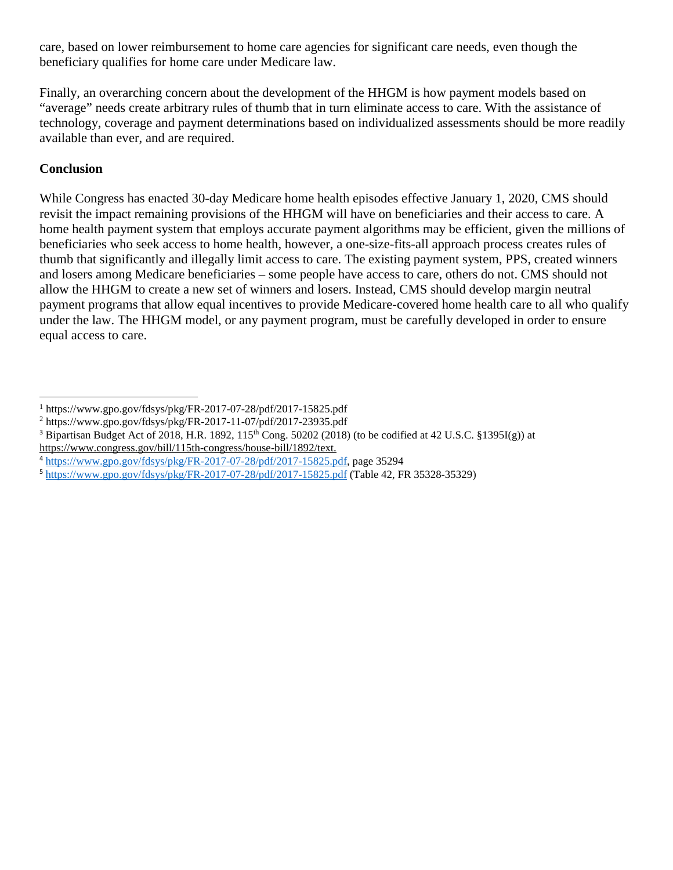care, based on lower reimbursement to home care agencies for significant care needs, even though the beneficiary qualifies for home care under Medicare law.

Finally, an overarching concern about the development of the HHGM is how payment models based on "average" needs create arbitrary rules of thumb that in turn eliminate access to care. With the assistance of technology, coverage and payment determinations based on individualized assessments should be more readily available than ever, and are required.

### **Conclusion**

While Congress has enacted 30-day Medicare home health episodes effective January 1, 2020, CMS should revisit the impact remaining provisions of the HHGM will have on beneficiaries and their access to care. A home health payment system that employs accurate payment algorithms may be efficient, given the millions of beneficiaries who seek access to home health, however, a one-size-fits-all approach process creates rules of thumb that significantly and illegally limit access to care. The existing payment system, PPS, created winners and losers among Medicare beneficiaries – some people have access to care, others do not. CMS should not allow the HHGM to create a new set of winners and losers. Instead, CMS should develop margin neutral payment programs that allow equal incentives to provide Medicare-covered home health care to all who qualify under the law. The HHGM model, or any payment program, must be carefully developed in order to ensure equal access to care.

<sup>1</sup> https://www.gpo.gov/fdsys/pkg/FR-2017-07-28/pdf/2017-15825.pdf  $\overline{a}$ 

<span id="page-24-1"></span><span id="page-24-0"></span><sup>2</sup> https://www.gpo.gov/fdsys/pkg/FR-2017-11-07/pdf/2017-23935.pdf

<span id="page-24-2"></span><sup>&</sup>lt;sup>3</sup> Bipartisan Budget Act of 2018, H.R. 1892, 115<sup>th</sup> Cong. 50202 (2018) (to be codified at 42 U.S.C. §1395I(g)) at https://www.congress.gov/bill/115th-congress/house-bill/1892/text.

<span id="page-24-3"></span><sup>4</sup> [https://www.gpo.gov/fdsys/pkg/FR-2017-07-28/pdf/2017-15825.pdf,](https://www.gpo.gov/fdsys/pkg/FR-2017-07-28/pdf/2017-15825.pdf) page 35294

<span id="page-24-4"></span><sup>5</sup> <https://www.gpo.gov/fdsys/pkg/FR-2017-07-28/pdf/2017-15825.pdf> (Table 42, FR 35328-35329)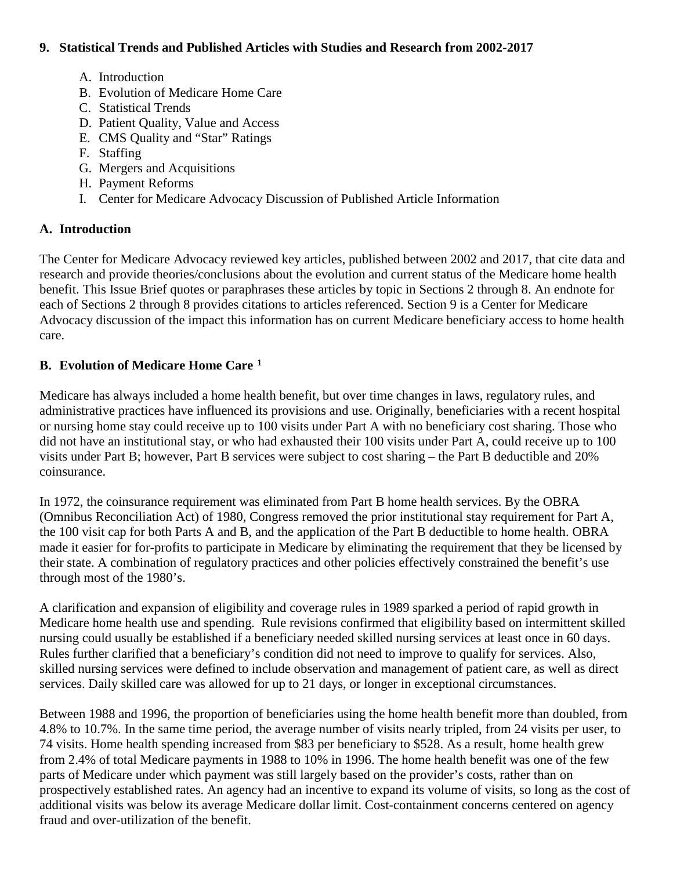#### **9. Statistical Trends and Published Articles with Studies and Research from 2002-2017**

- A. Introduction
- B. Evolution of Medicare Home Care
- C. Statistical Trends
- D. Patient Quality, Value and Access
- E. CMS Quality and "Star" Ratings
- F. Staffing
- G. Mergers and Acquisitions
- H. Payment Reforms
- I. Center for Medicare Advocacy Discussion of Published Article Information

### **A. Introduction**

The Center for Medicare Advocacy reviewed key articles, published between 2002 and 2017, that cite data and research and provide theories/conclusions about the evolution and current status of the Medicare home health benefit. This Issue Brief quotes or paraphrases these articles by topic in Sections 2 through 8. An endnote for each of Sections 2 through 8 provides citations to articles referenced. Section 9 is a Center for Medicare Advocacy discussion of the impact this information has on current Medicare beneficiary access to home health care.

### **B. Evolution of Medicare Home Care [1](#page-32-0)**

Medicare has always included a home health benefit, but over time changes in laws, regulatory rules, and administrative practices have influenced its provisions and use. Originally, beneficiaries with a recent hospital or nursing home stay could receive up to 100 visits under Part A with no beneficiary cost sharing. Those who did not have an institutional stay, or who had exhausted their 100 visits under Part A, could receive up to 100 visits under Part B; however, Part B services were subject to cost sharing – the Part B deductible and 20% coinsurance.

In 1972, the coinsurance requirement was eliminated from Part B home health services. By the OBRA (Omnibus Reconciliation Act) of 1980, Congress removed the prior institutional stay requirement for Part A, the 100 visit cap for both Parts A and B, and the application of the Part B deductible to home health. OBRA made it easier for for-profits to participate in Medicare by eliminating the requirement that they be licensed by their state. A combination of regulatory practices and other policies effectively constrained the benefit's use through most of the 1980's.

A clarification and expansion of eligibility and coverage rules in 1989 sparked a period of rapid growth in Medicare home health use and spending. Rule revisions confirmed that eligibility based on intermittent skilled nursing could usually be established if a beneficiary needed skilled nursing services at least once in 60 days. Rules further clarified that a beneficiary's condition did not need to improve to qualify for services. Also, skilled nursing services were defined to include observation and management of patient care, as well as direct services. Daily skilled care was allowed for up to 21 days, or longer in exceptional circumstances.

Between 1988 and 1996, the proportion of beneficiaries using the home health benefit more than doubled, from 4.8% to 10.7%. In the same time period, the average number of visits nearly tripled, from 24 visits per user, to 74 visits. Home health spending increased from \$83 per beneficiary to \$528. As a result, home health grew from 2.4% of total Medicare payments in 1988 to 10% in 1996. The home health benefit was one of the few parts of Medicare under which payment was still largely based on the provider's costs, rather than on prospectively established rates. An agency had an incentive to expand its volume of visits, so long as the cost of additional visits was below its average Medicare dollar limit. Cost-containment concerns centered on agency fraud and over-utilization of the benefit.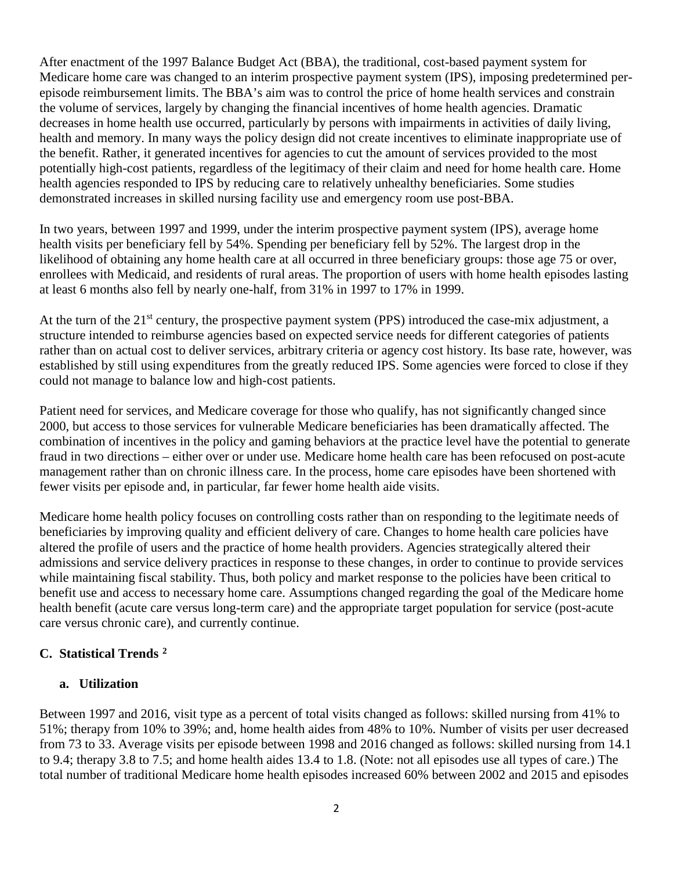After enactment of the 1997 Balance Budget Act (BBA), the traditional, cost-based payment system for Medicare home care was changed to an interim prospective payment system (IPS), imposing predetermined perepisode reimbursement limits. The BBA's aim was to control the price of home health services and constrain the volume of services, largely by changing the financial incentives of home health agencies. Dramatic decreases in home health use occurred, particularly by persons with impairments in activities of daily living, health and memory. In many ways the policy design did not create incentives to eliminate inappropriate use of the benefit. Rather, it generated incentives for agencies to cut the amount of services provided to the most potentially high-cost patients, regardless of the legitimacy of their claim and need for home health care. Home health agencies responded to IPS by reducing care to relatively unhealthy beneficiaries. Some studies demonstrated increases in skilled nursing facility use and emergency room use post-BBA.

In two years, between 1997 and 1999, under the interim prospective payment system (IPS), average home health visits per beneficiary fell by 54%. Spending per beneficiary fell by 52%. The largest drop in the likelihood of obtaining any home health care at all occurred in three beneficiary groups: those age 75 or over, enrollees with Medicaid, and residents of rural areas. The proportion of users with home health episodes lasting at least 6 months also fell by nearly one-half, from 31% in 1997 to 17% in 1999.

At the turn of the 21<sup>st</sup> century, the prospective payment system (PPS) introduced the case-mix adjustment, a structure intended to reimburse agencies based on expected service needs for different categories of patients rather than on actual cost to deliver services, arbitrary criteria or agency cost history. Its base rate, however, was established by still using expenditures from the greatly reduced IPS. Some agencies were forced to close if they could not manage to balance low and high-cost patients.

Patient need for services, and Medicare coverage for those who qualify, has not significantly changed since 2000, but access to those services for vulnerable Medicare beneficiaries has been dramatically affected. The combination of incentives in the policy and gaming behaviors at the practice level have the potential to generate fraud in two directions – either over or under use. Medicare home health care has been refocused on post-acute management rather than on chronic illness care. In the process, home care episodes have been shortened with fewer visits per episode and, in particular, far fewer home health aide visits.

Medicare home health policy focuses on controlling costs rather than on responding to the legitimate needs of beneficiaries by improving quality and efficient delivery of care. Changes to home health care policies have altered the profile of users and the practice of home health providers. Agencies strategically altered their admissions and service delivery practices in response to these changes, in order to continue to provide services while maintaining fiscal stability. Thus, both policy and market response to the policies have been critical to benefit use and access to necessary home care. Assumptions changed regarding the goal of the Medicare home health benefit (acute care versus long-term care) and the appropriate target population for service (post-acute care versus chronic care), and currently continue.

# **C. Statistical Trends [2](#page-32-1)**

#### **a. Utilization**

Between 1997 and 2016, visit type as a percent of total visits changed as follows: skilled nursing from 41% to 51%; therapy from 10% to 39%; and, home health aides from 48% to 10%. Number of visits per user decreased from 73 to 33. Average visits per episode between 1998 and 2016 changed as follows: skilled nursing from 14.1 to 9.4; therapy 3.8 to 7.5; and home health aides 13.4 to 1.8. (Note: not all episodes use all types of care.) The total number of traditional Medicare home health episodes increased 60% between 2002 and 2015 and episodes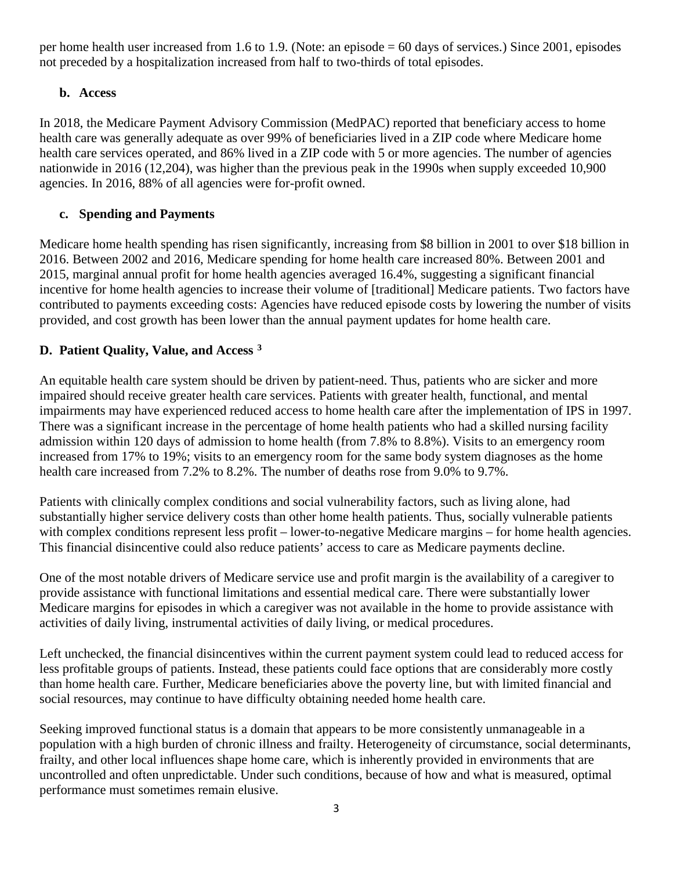per home health user increased from 1.6 to 1.9. (Note: an episode = 60 days of services.) Since 2001, episodes not preceded by a hospitalization increased from half to two-thirds of total episodes.

# **b. Access**

In 2018, the Medicare Payment Advisory Commission (MedPAC) reported that beneficiary access to home health care was generally adequate as over 99% of beneficiaries lived in a ZIP code where Medicare home health care services operated, and 86% lived in a ZIP code with 5 or more agencies. The number of agencies nationwide in 2016 (12,204), was higher than the previous peak in the 1990s when supply exceeded 10,900 agencies. In 2016, 88% of all agencies were for-profit owned.

# **c. Spending and Payments**

Medicare home health spending has risen significantly, increasing from \$8 billion in 2001 to over \$18 billion in 2016. Between 2002 and 2016, Medicare spending for home health care increased 80%. Between 2001 and 2015, marginal annual profit for home health agencies averaged 16.4%, suggesting a significant financial incentive for home health agencies to increase their volume of [traditional] Medicare patients. Two factors have contributed to payments exceeding costs: Agencies have reduced episode costs by lowering the number of visits provided, and cost growth has been lower than the annual payment updates for home health care.

# **D. Patient Quality, Value, and Access [3](#page-32-2)**

An equitable health care system should be driven by patient-need. Thus, patients who are sicker and more impaired should receive greater health care services. Patients with greater health, functional, and mental impairments may have experienced reduced access to home health care after the implementation of IPS in 1997. There was a significant increase in the percentage of home health patients who had a skilled nursing facility admission within 120 days of admission to home health (from 7.8% to 8.8%). Visits to an emergency room increased from 17% to 19%; visits to an emergency room for the same body system diagnoses as the home health care increased from 7.2% to 8.2%. The number of deaths rose from 9.0% to 9.7%.

Patients with clinically complex conditions and social vulnerability factors, such as living alone, had substantially higher service delivery costs than other home health patients. Thus, socially vulnerable patients with complex conditions represent less profit – lower-to-negative Medicare margins – for home health agencies. This financial disincentive could also reduce patients' access to care as Medicare payments decline.

One of the most notable drivers of Medicare service use and profit margin is the availability of a caregiver to provide assistance with functional limitations and essential medical care. There were substantially lower Medicare margins for episodes in which a caregiver was not available in the home to provide assistance with activities of daily living, instrumental activities of daily living, or medical procedures.

Left unchecked, the financial disincentives within the current payment system could lead to reduced access for less profitable groups of patients. Instead, these patients could face options that are considerably more costly than home health care. Further, Medicare beneficiaries above the poverty line, but with limited financial and social resources, may continue to have difficulty obtaining needed home health care.

Seeking improved functional status is a domain that appears to be more consistently unmanageable in a population with a high burden of chronic illness and frailty. Heterogeneity of circumstance, social determinants, frailty, and other local influences shape home care, which is inherently provided in environments that are uncontrolled and often unpredictable. Under such conditions, because of how and what is measured, optimal performance must sometimes remain elusive.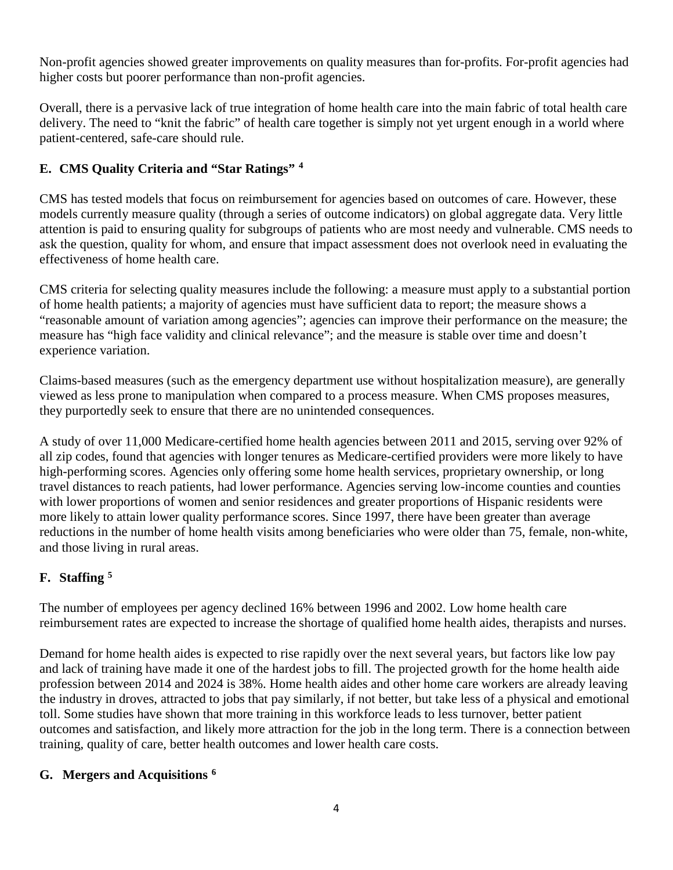Non-profit agencies showed greater improvements on quality measures than for-profits. For-profit agencies had higher costs but poorer performance than non-profit agencies.

Overall, there is a pervasive lack of true integration of home health care into the main fabric of total health care delivery. The need to "knit the fabric" of health care together is simply not yet urgent enough in a world where patient-centered, safe-care should rule.

# **E. CMS Quality Criteria and "Star Ratings" [4](#page-32-3)**

CMS has tested models that focus on reimbursement for agencies based on outcomes of care. However, these models currently measure quality (through a series of outcome indicators) on global aggregate data. Very little attention is paid to ensuring quality for subgroups of patients who are most needy and vulnerable. CMS needs to ask the question, quality for whom, and ensure that impact assessment does not overlook need in evaluating the effectiveness of home health care.

CMS criteria for selecting quality measures include the following: a measure must apply to a substantial portion of home health patients; a majority of agencies must have sufficient data to report; the measure shows a "reasonable amount of variation among agencies"; agencies can improve their performance on the measure; the measure has "high face validity and clinical relevance"; and the measure is stable over time and doesn't experience variation.

Claims-based measures (such as the emergency department use without hospitalization measure), are generally viewed as less prone to manipulation when compared to a process measure. When CMS proposes measures, they purportedly seek to ensure that there are no unintended consequences.

A study of over 11,000 Medicare-certified home health agencies between 2011 and 2015, serving over 92% of all zip codes, found that agencies with longer tenures as Medicare-certified providers were more likely to have high-performing scores. Agencies only offering some home health services, proprietary ownership, or long travel distances to reach patients, had lower performance. Agencies serving low-income counties and counties with lower proportions of women and senior residences and greater proportions of Hispanic residents were more likely to attain lower quality performance scores. Since 1997, there have been greater than average reductions in the number of home health visits among beneficiaries who were older than 75, female, non-white, and those living in rural areas.

# **F. Staffing [5](#page-32-4)**

The number of employees per agency declined 16% between 1996 and 2002. Low home health care reimbursement rates are expected to increase the shortage of qualified home health aides, therapists and nurses.

Demand for home health aides is expected to rise rapidly over the next several years, but factors like low pay and lack of training have made it one of the hardest jobs to fill. The projected growth for the home health aide profession between 2014 and 2024 is 38%. Home health aides and other home care workers are already leaving the industry in droves, attracted to jobs that pay similarly, if not better, but take less of a physical and emotional toll. Some studies have shown that more training in this workforce leads to less turnover, better patient outcomes and satisfaction, and likely more attraction for the job in the long term. There is a connection between training, quality of care, better health outcomes and lower health care costs.

#### **G. Mergers and Acquisitions [6](#page-32-5)**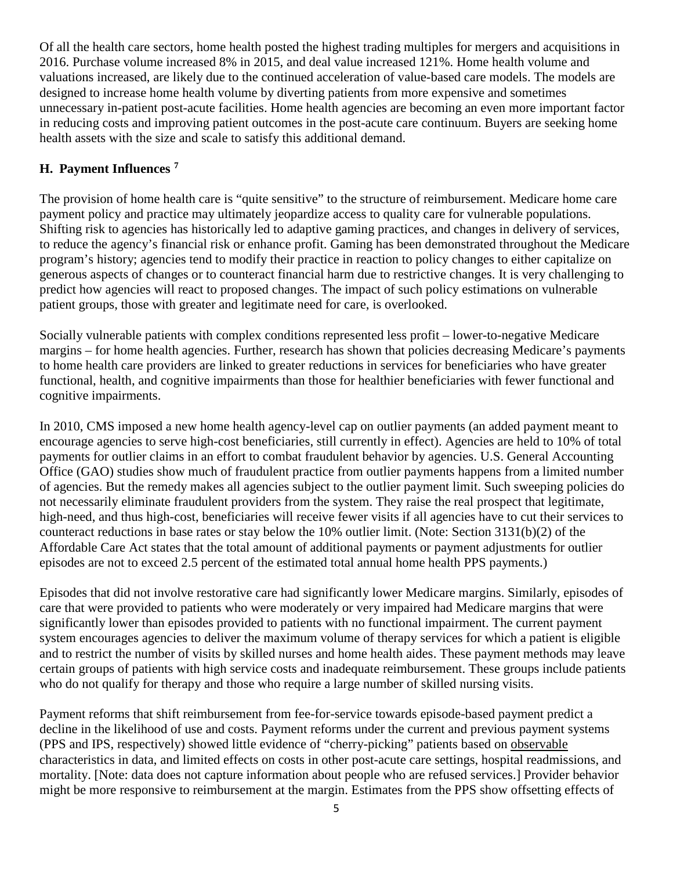Of all the health care sectors, home health posted the highest trading multiples for mergers and acquisitions in 2016. Purchase volume increased 8% in 2015, and deal value increased 121%. Home health volume and valuations increased, are likely due to the continued acceleration of value-based care models. The models are designed to increase home health volume by diverting patients from more expensive and sometimes unnecessary in-patient post-acute facilities. Home health agencies are becoming an even more important factor in reducing costs and improving patient outcomes in the post-acute care continuum. Buyers are seeking home health assets with the size and scale to satisfy this additional demand.

### **H. Payment Influences [7](#page-32-6)**

The provision of home health care is "quite sensitive" to the structure of reimbursement. Medicare home care payment policy and practice may ultimately jeopardize access to quality care for vulnerable populations. Shifting risk to agencies has historically led to adaptive gaming practices, and changes in delivery of services, to reduce the agency's financial risk or enhance profit. Gaming has been demonstrated throughout the Medicare program's history; agencies tend to modify their practice in reaction to policy changes to either capitalize on generous aspects of changes or to counteract financial harm due to restrictive changes. It is very challenging to predict how agencies will react to proposed changes. The impact of such policy estimations on vulnerable patient groups, those with greater and legitimate need for care, is overlooked.

Socially vulnerable patients with complex conditions represented less profit – lower-to-negative Medicare margins – for home health agencies. Further, research has shown that policies decreasing Medicare's payments to home health care providers are linked to greater reductions in services for beneficiaries who have greater functional, health, and cognitive impairments than those for healthier beneficiaries with fewer functional and cognitive impairments.

In 2010, CMS imposed a new home health agency-level cap on outlier payments (an added payment meant to encourage agencies to serve high-cost beneficiaries, still currently in effect). Agencies are held to 10% of total payments for outlier claims in an effort to combat fraudulent behavior by agencies. U.S. General Accounting Office (GAO) studies show much of fraudulent practice from outlier payments happens from a limited number of agencies. But the remedy makes all agencies subject to the outlier payment limit. Such sweeping policies do not necessarily eliminate fraudulent providers from the system. They raise the real prospect that legitimate, high-need, and thus high-cost, beneficiaries will receive fewer visits if all agencies have to cut their services to counteract reductions in base rates or stay below the 10% outlier limit. (Note: Section 3131(b)(2) of the Affordable Care Act states that the total amount of additional payments or payment adjustments for outlier episodes are not to exceed 2.5 percent of the estimated total annual home health PPS payments.)

Episodes that did not involve restorative care had significantly lower Medicare margins. Similarly, episodes of care that were provided to patients who were moderately or very impaired had Medicare margins that were significantly lower than episodes provided to patients with no functional impairment. The current payment system encourages agencies to deliver the maximum volume of therapy services for which a patient is eligible and to restrict the number of visits by skilled nurses and home health aides. These payment methods may leave certain groups of patients with high service costs and inadequate reimbursement. These groups include patients who do not qualify for therapy and those who require a large number of skilled nursing visits.

Payment reforms that shift reimbursement from fee-for-service towards episode-based payment predict a decline in the likelihood of use and costs. Payment reforms under the current and previous payment systems (PPS and IPS, respectively) showed little evidence of "cherry-picking" patients based on observable characteristics in data, and limited effects on costs in other post-acute care settings, hospital readmissions, and mortality. [Note: data does not capture information about people who are refused services.] Provider behavior might be more responsive to reimbursement at the margin. Estimates from the PPS show offsetting effects of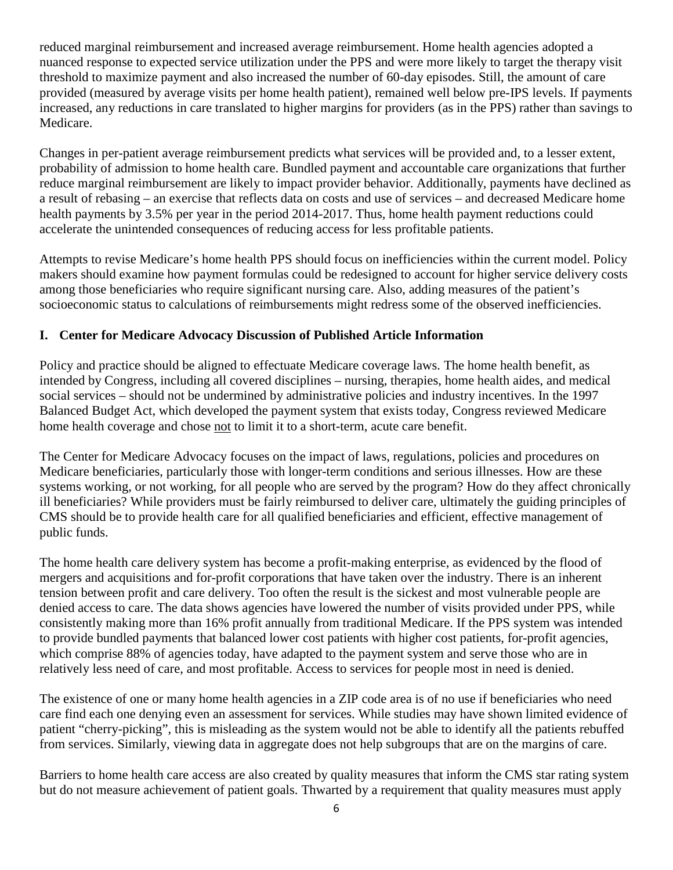reduced marginal reimbursement and increased average reimbursement. Home health agencies adopted a nuanced response to expected service utilization under the PPS and were more likely to target the therapy visit threshold to maximize payment and also increased the number of 60-day episodes. Still, the amount of care provided (measured by average visits per home health patient), remained well below pre-IPS levels. If payments increased, any reductions in care translated to higher margins for providers (as in the PPS) rather than savings to Medicare.

Changes in per-patient average reimbursement predicts what services will be provided and, to a lesser extent, probability of admission to home health care. Bundled payment and accountable care organizations that further reduce marginal reimbursement are likely to impact provider behavior. Additionally, payments have declined as a result of rebasing – an exercise that reflects data on costs and use of services – and decreased Medicare home health payments by 3.5% per year in the period 2014-2017. Thus, home health payment reductions could accelerate the unintended consequences of reducing access for less profitable patients.

Attempts to revise Medicare's home health PPS should focus on inefficiencies within the current model. Policy makers should examine how payment formulas could be redesigned to account for higher service delivery costs among those beneficiaries who require significant nursing care. Also, adding measures of the patient's socioeconomic status to calculations of reimbursements might redress some of the observed inefficiencies.

### **I. Center for Medicare Advocacy Discussion of Published Article Information**

Policy and practice should be aligned to effectuate Medicare coverage laws. The home health benefit, as intended by Congress, including all covered disciplines – nursing, therapies, home health aides, and medical social services – should not be undermined by administrative policies and industry incentives. In the 1997 Balanced Budget Act, which developed the payment system that exists today, Congress reviewed Medicare home health coverage and chose not to limit it to a short-term, acute care benefit.

The Center for Medicare Advocacy focuses on the impact of laws, regulations, policies and procedures on Medicare beneficiaries, particularly those with longer-term conditions and serious illnesses. How are these systems working, or not working, for all people who are served by the program? How do they affect chronically ill beneficiaries? While providers must be fairly reimbursed to deliver care, ultimately the guiding principles of CMS should be to provide health care for all qualified beneficiaries and efficient, effective management of public funds.

The home health care delivery system has become a profit-making enterprise, as evidenced by the flood of mergers and acquisitions and for-profit corporations that have taken over the industry. There is an inherent tension between profit and care delivery. Too often the result is the sickest and most vulnerable people are denied access to care. The data shows agencies have lowered the number of visits provided under PPS, while consistently making more than 16% profit annually from traditional Medicare. If the PPS system was intended to provide bundled payments that balanced lower cost patients with higher cost patients, for-profit agencies, which comprise 88% of agencies today, have adapted to the payment system and serve those who are in relatively less need of care, and most profitable. Access to services for people most in need is denied.

The existence of one or many home health agencies in a ZIP code area is of no use if beneficiaries who need care find each one denying even an assessment for services. While studies may have shown limited evidence of patient "cherry-picking", this is misleading as the system would not be able to identify all the patients rebuffed from services. Similarly, viewing data in aggregate does not help subgroups that are on the margins of care.

Barriers to home health care access are also created by quality measures that inform the CMS star rating system but do not measure achievement of patient goals. Thwarted by a requirement that quality measures must apply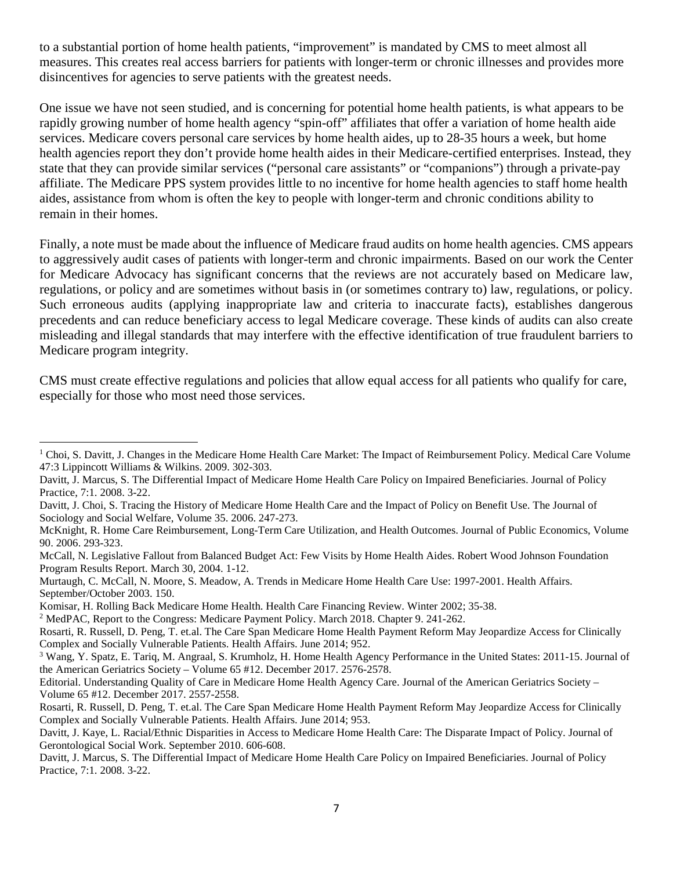to a substantial portion of home health patients, "improvement" is mandated by CMS to meet almost all measures. This creates real access barriers for patients with longer-term or chronic illnesses and provides more disincentives for agencies to serve patients with the greatest needs.

One issue we have not seen studied, and is concerning for potential home health patients, is what appears to be rapidly growing number of home health agency "spin-off" affiliates that offer a variation of home health aide services. Medicare covers personal care services by home health aides, up to 28-35 hours a week, but home health agencies report they don't provide home health aides in their Medicare-certified enterprises. Instead, they state that they can provide similar services ("personal care assistants" or "companions") through a private-pay affiliate. The Medicare PPS system provides little to no incentive for home health agencies to staff home health aides, assistance from whom is often the key to people with longer-term and chronic conditions ability to remain in their homes.

Finally, a note must be made about the influence of Medicare fraud audits on home health agencies. CMS appears to aggressively audit cases of patients with longer-term and chronic impairments. Based on our work the Center for Medicare Advocacy has significant concerns that the reviews are not accurately based on Medicare law, regulations, or policy and are sometimes without basis in (or sometimes contrary to) law, regulations, or policy. Such erroneous audits (applying inappropriate law and criteria to inaccurate facts), establishes dangerous precedents and can reduce beneficiary access to legal Medicare coverage. These kinds of audits can also create misleading and illegal standards that may interfere with the effective identification of true fraudulent barriers to Medicare program integrity.

CMS must create effective regulations and policies that allow equal access for all patients who qualify for care, especially for those who most need those services.

<sup>&</sup>lt;sup>1</sup> Choi, S. Davitt, J. Changes in the Medicare Home Health Care Market: The Impact of Reimbursement Policy. Medical Care Volume 47:3 Lippincott Williams & Wilkins. 2009. 302-303. l

Davitt, J. Marcus, S. The Differential Impact of Medicare Home Health Care Policy on Impaired Beneficiaries. Journal of Policy Practice, 7:1. 2008. 3-22.

Davitt, J. Choi, S. Tracing the History of Medicare Home Health Care and the Impact of Policy on Benefit Use. The Journal of Sociology and Social Welfare, Volume 35. 2006. 247-273.

McKnight, R. Home Care Reimbursement, Long-Term Care Utilization, and Health Outcomes. Journal of Public Economics, Volume 90. 2006. 293-323.

McCall, N. Legislative Fallout from Balanced Budget Act: Few Visits by Home Health Aides. Robert Wood Johnson Foundation Program Results Report. March 30, 2004. 1-12.

Murtaugh, C. McCall, N. Moore, S. Meadow, A. Trends in Medicare Home Health Care Use: 1997-2001. Health Affairs. September/October 2003. 150.

Komisar, H. Rolling Back Medicare Home Health. Health Care Financing Review. Winter 2002; 35-38.

<sup>2</sup> MedPAC, Report to the Congress: Medicare Payment Policy. March 2018. Chapter 9. 241-262.

Rosarti, R. Russell, D. Peng, T. et.al. The Care Span Medicare Home Health Payment Reform May Jeopardize Access for Clinically Complex and Socially Vulnerable Patients. Health Affairs. June 2014; 952.

<sup>3</sup> Wang, Y. Spatz, E. Tariq, M. Angraal, S. Krumholz, H. Home Health Agency Performance in the United States: 2011-15. Journal of the American Geriatrics Society – Volume 65 #12. December 2017. 2576-2578.

Editorial. Understanding Quality of Care in Medicare Home Health Agency Care. Journal of the American Geriatrics Society – Volume 65 #12. December 2017. 2557-2558.

Rosarti, R. Russell, D. Peng, T. et.al. The Care Span Medicare Home Health Payment Reform May Jeopardize Access for Clinically Complex and Socially Vulnerable Patients. Health Affairs. June 2014; 953.

Davitt, J. Kaye, L. Racial/Ethnic Disparities in Access to Medicare Home Health Care: The Disparate Impact of Policy. Journal of Gerontological Social Work. September 2010. 606-608.

Davitt, J. Marcus, S. The Differential Impact of Medicare Home Health Care Policy on Impaired Beneficiaries. Journal of Policy Practice, 7:1. 2008. 3-22.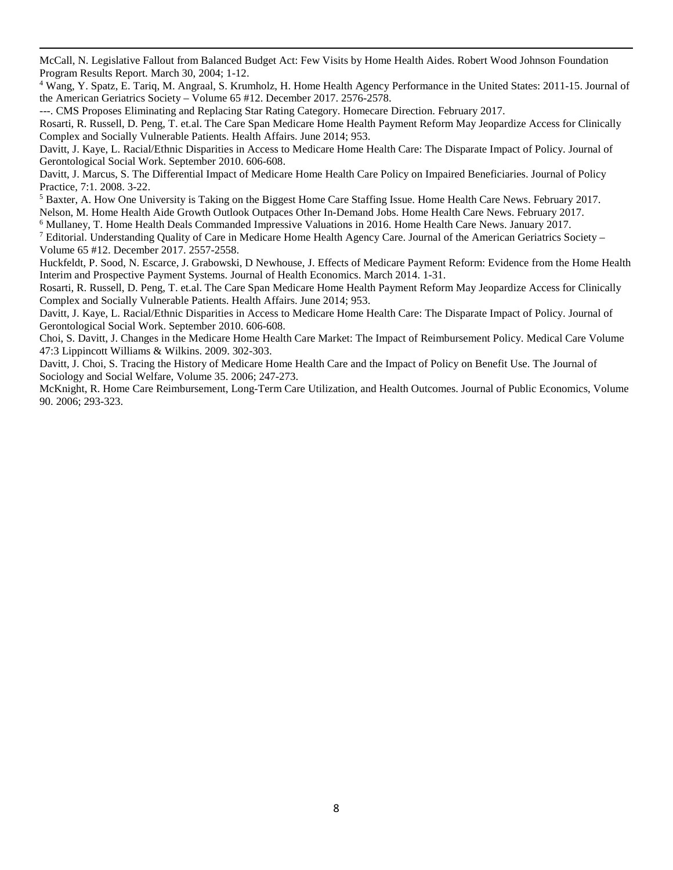McCall, N. Legislative Fallout from Balanced Budget Act: Few Visits by Home Health Aides. Robert Wood Johnson Foundation Program Results Report. March 30, 2004; 1-12.

<span id="page-32-3"></span><sup>4</sup> Wang, Y. Spatz, E. Tariq, M. Angraal, S. Krumholz, H. Home Health Agency Performance in the United States: 2011-15. Journal of the American Geriatrics Society – Volume 65 #12. December 2017. 2576-2578.

---. CMS Proposes Eliminating and Replacing Star Rating Category. Homecare Direction. February 2017.

 $\overline{a}$ 

Rosarti, R. Russell, D. Peng, T. et.al. The Care Span Medicare Home Health Payment Reform May Jeopardize Access for Clinically Complex and Socially Vulnerable Patients. Health Affairs. June 2014; 953.

Davitt, J. Kaye, L. Racial/Ethnic Disparities in Access to Medicare Home Health Care: The Disparate Impact of Policy. Journal of Gerontological Social Work. September 2010. 606-608.

Davitt, J. Marcus, S. The Differential Impact of Medicare Home Health Care Policy on Impaired Beneficiaries. Journal of Policy Practice, 7:1. 2008. 3-22.

<span id="page-32-4"></span><sup>5</sup> Baxter, A. How One University is Taking on the Biggest Home Care Staffing Issue. Home Health Care News. February 2017.

Nelson, M. Home Health Aide Growth Outlook Outpaces Other In-Demand Jobs. Home Health Care News. February 2017.<br><sup>6</sup> Mullaney, T. Home Health Deals Commanded Impressive Valuations in 2016. Home Health Care News. January 201

<span id="page-32-5"></span>

<span id="page-32-6"></span>Volume 65 #12. December 2017. 2557-2558.

Huckfeldt, P. Sood, N. Escarce, J. Grabowski, D Newhouse, J. Effects of Medicare Payment Reform: Evidence from the Home Health Interim and Prospective Payment Systems. Journal of Health Economics. March 2014. 1-31.

Rosarti, R. Russell, D. Peng, T. et.al. The Care Span Medicare Home Health Payment Reform May Jeopardize Access for Clinically Complex and Socially Vulnerable Patients. Health Affairs. June 2014; 953.

Davitt, J. Kaye, L. Racial/Ethnic Disparities in Access to Medicare Home Health Care: The Disparate Impact of Policy. Journal of Gerontological Social Work. September 2010. 606-608.

Choi, S. Davitt, J. Changes in the Medicare Home Health Care Market: The Impact of Reimbursement Policy. Medical Care Volume 47:3 Lippincott Williams & Wilkins. 2009. 302-303.

Davitt, J. Choi, S. Tracing the History of Medicare Home Health Care and the Impact of Policy on Benefit Use. The Journal of Sociology and Social Welfare, Volume 35. 2006; 247-273.

<span id="page-32-2"></span><span id="page-32-1"></span><span id="page-32-0"></span>McKnight, R. Home Care Reimbursement, Long-Term Care Utilization, and Health Outcomes. Journal of Public Economics, Volume 90. 2006; 293-323.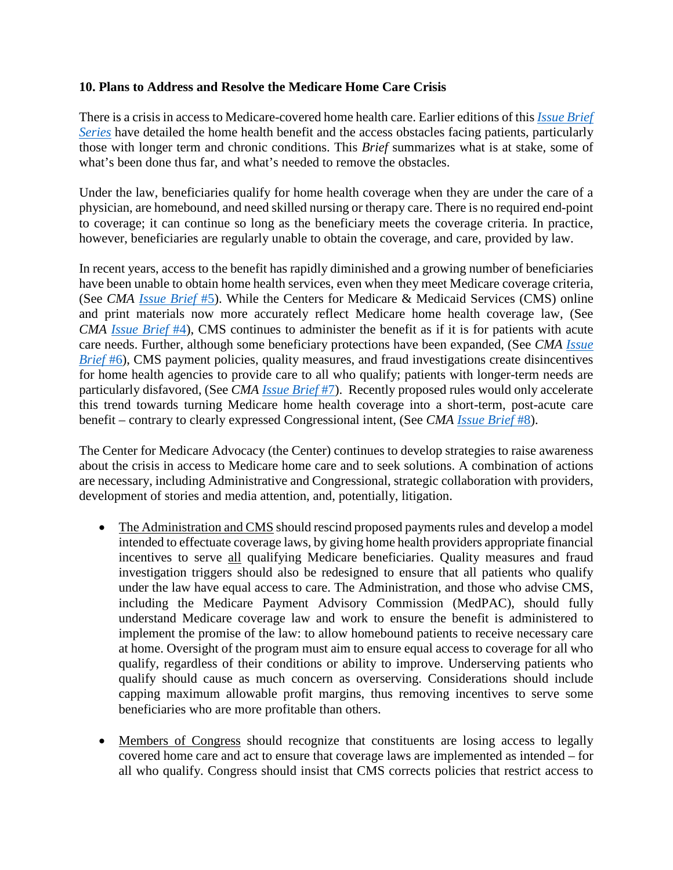#### **10. Plans to Address and Resolve the Medicare Home Care Crisis**

There is a crisis in access to Medicare-covered home health care. Earlier editions of this *[Issue Brief](http://www.medicareadvocacy.org/cma-issue-brief-series-medicare-home-health-care-crisis/)  [Series](http://www.medicareadvocacy.org/cma-issue-brief-series-medicare-home-health-care-crisis/)* have detailed the home health benefit and the access obstacles facing patients, particularly those with longer term and chronic conditions. This *Brief* summarizes what is at stake, some of what's been done thus far, and what's needed to remove the obstacles.

Under the law, beneficiaries qualify for home health coverage when they are under the care of a physician, are homebound, and need skilled nursing or therapy care. There is no required end-point to coverage; it can continue so long as the beneficiary meets the coverage criteria. In practice, however, beneficiaries are regularly unable to obtain the coverage, and care, provided by law.

In recent years, access to the benefit has rapidly diminished and a growing number of beneficiaries have been unable to obtain home health services, even when they meet Medicare coverage criteria, (See *CMA [Issue Brief](http://www.medicareadvocacy.org/part-5-the-home-care-crisis-an-elder-justice-issue/)* #5). While the Centers for Medicare & Medicaid Services (CMS) online and print materials now more accurately reflect Medicare home health coverage law, (See *CMA [Issue Brief](http://www.medicareadvocacy.org/misleading-and-inaccurate-cms-medicare-home-health-publications/)* #4), CMS continues to administer the benefit as if it is for patients with acute care needs. Further, although some beneficiary protections have been expanded, (See *CMA [Issue](http://www.medicareadvocacy.org/beneficiary-protections-expanded-in-revised-home-health-conditions-of-participation/)  [Brief](http://www.medicareadvocacy.org/beneficiary-protections-expanded-in-revised-home-health-conditions-of-participation/)* #6), CMS payment policies, quality measures, and fraud investigations create disincentives for home health agencies to provide care to all who qualify; patients with longer-term needs are particularly disfavored, (See *CMA [Issue Brief](http://www.medicareadvocacy.org/barriers-to-home-care-created-by-cms-payment-quality-measurement-and-fraud-investigation-systems/)* #7). Recently proposed rules would only accelerate this trend towards turning Medicare home health coverage into a short-term, post-acute care benefit – contrary to clearly expressed Congressional intent, (See *CMA [Issue Brief](http://www.medicareadvocacy.org/proposed-cms-payment-rules-will-worsen-the-home-care-crisis/)* #8).

The Center for Medicare Advocacy (the Center) continues to develop strategies to raise awareness about the crisis in access to Medicare home care and to seek solutions. A combination of actions are necessary, including Administrative and Congressional, strategic collaboration with providers, development of stories and media attention, and, potentially, litigation.

- The Administration and CMS should rescind proposed payments rules and develop a model intended to effectuate coverage laws, by giving home health providers appropriate financial incentives to serve all qualifying Medicare beneficiaries. Quality measures and fraud investigation triggers should also be redesigned to ensure that all patients who qualify under the law have equal access to care. The Administration, and those who advise CMS, including the Medicare Payment Advisory Commission (MedPAC), should fully understand Medicare coverage law and work to ensure the benefit is administered to implement the promise of the law: to allow homebound patients to receive necessary care at home. Oversight of the program must aim to ensure equal access to coverage for all who qualify, regardless of their conditions or ability to improve. Underserving patients who qualify should cause as much concern as overserving. Considerations should include capping maximum allowable profit margins, thus removing incentives to serve some beneficiaries who are more profitable than others.
- Members of Congress should recognize that constituents are losing access to legally covered home care and act to ensure that coverage laws are implemented as intended – for all who qualify. Congress should insist that CMS corrects policies that restrict access to